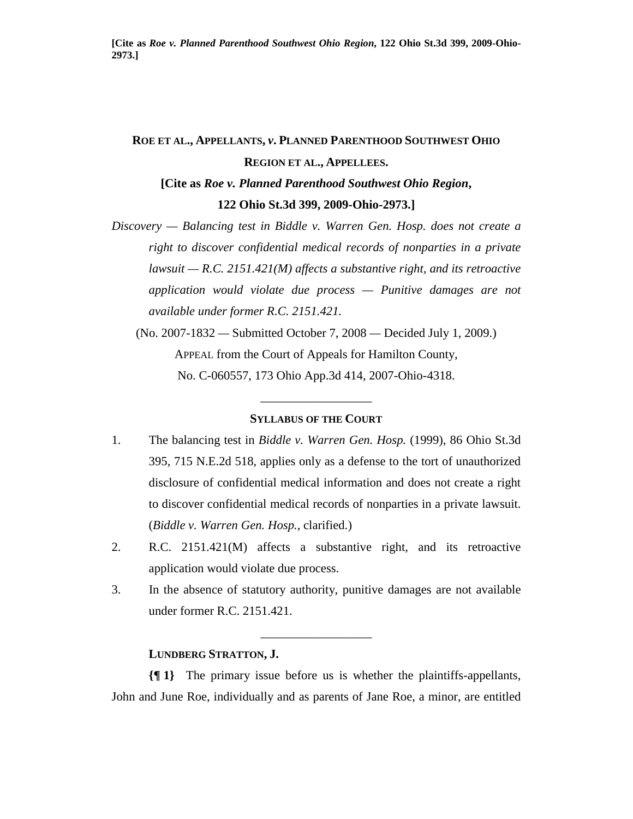**[Cite as** *Roe v. Planned Parenthood Southwest Ohio Region***, 122 Ohio St.3d 399, 2009-Ohio-2973.]** 

# **ROE ET AL., APPELLANTS,** *v***. PLANNED PARENTHOOD SOUTHWEST OHIO REGION ET AL., APPELLEES. [Cite as** *Roe v. Planned Parenthood Southwest Ohio Region***,**

**122 Ohio St.3d 399, 2009-Ohio-2973.]** 

*Discovery — Balancing test in Biddle v. Warren Gen. Hosp. does not create a right to discover confidential medical records of nonparties in a private lawsuit — R.C. 2151.421(M) affects a substantive right, and its retroactive application would violate due process — Punitive damages are not available under former R.C. 2151.421.* 

(No. 2007-1832 *—* Submitted October 7, 2008 *—* Decided July 1, 2009.) APPEAL from the Court of Appeals for Hamilton County, No. C-060557, 173 Ohio App.3d 414, 2007-Ohio-4318.

#### **SYLLABUS OF THE COURT**

\_\_\_\_\_\_\_\_\_\_\_\_\_\_\_\_\_\_

- 1. The balancing test in *Biddle v. Warren Gen. Hosp.* (1999), 86 Ohio St.3d 395, 715 N.E.2d 518, applies only as a defense to the tort of unauthorized disclosure of confidential medical information and does not create a right to discover confidential medical records of nonparties in a private lawsuit. (*Biddle v. Warren Gen. Hosp.,* clarified.)
- 2. R.C. 2151.421(M) affects a substantive right, and its retroactive application would violate due process.
- 3. In the absence of statutory authority, punitive damages are not available under former R.C. 2151.421.

\_\_\_\_\_\_\_\_\_\_\_\_\_\_\_\_\_\_

#### **LUNDBERG STRATTON, J.**

**{¶ 1}** The primary issue before us is whether the plaintiffs-appellants, John and June Roe, individually and as parents of Jane Roe, a minor, are entitled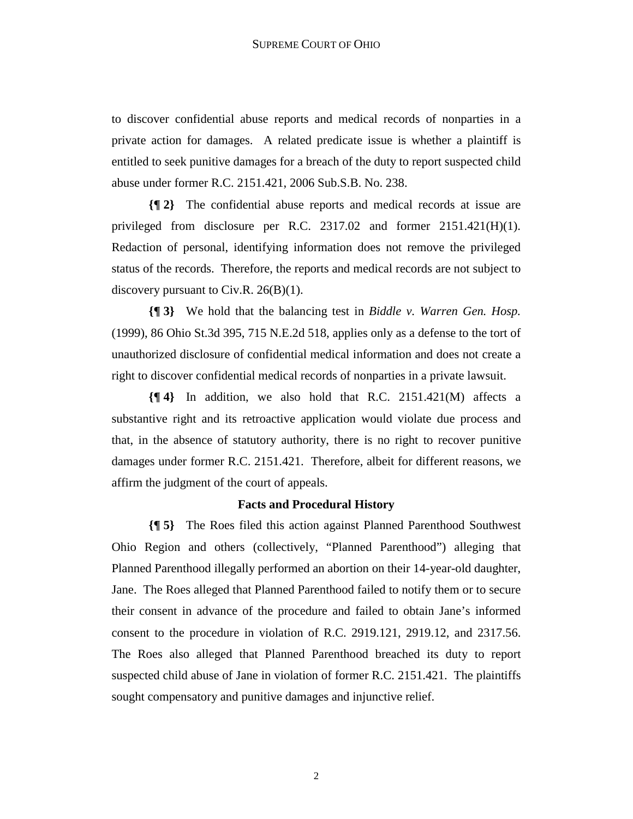to discover confidential abuse reports and medical records of nonparties in a private action for damages. A related predicate issue is whether a plaintiff is entitled to seek punitive damages for a breach of the duty to report suspected child abuse under former R.C. 2151.421, 2006 Sub.S.B. No. 238.

**{¶ 2}** The confidential abuse reports and medical records at issue are privileged from disclosure per R.C. 2317.02 and former 2151.421(H)(1). Redaction of personal, identifying information does not remove the privileged status of the records. Therefore, the reports and medical records are not subject to discovery pursuant to Civ.R.  $26(B)(1)$ .

**{¶ 3}** We hold that the balancing test in *Biddle v. Warren Gen. Hosp.*  (1999), 86 Ohio St.3d 395, 715 N.E.2d 518, applies only as a defense to the tort of unauthorized disclosure of confidential medical information and does not create a right to discover confidential medical records of nonparties in a private lawsuit.

**{¶ 4}** In addition, we also hold that R.C. 2151.421(M) affects a substantive right and its retroactive application would violate due process and that, in the absence of statutory authority, there is no right to recover punitive damages under former R.C. 2151.421. Therefore, albeit for different reasons, we affirm the judgment of the court of appeals.

#### **Facts and Procedural History**

**{¶ 5}** The Roes filed this action against Planned Parenthood Southwest Ohio Region and others (collectively, "Planned Parenthood") alleging that Planned Parenthood illegally performed an abortion on their 14-year-old daughter, Jane. The Roes alleged that Planned Parenthood failed to notify them or to secure their consent in advance of the procedure and failed to obtain Jane's informed consent to the procedure in violation of R.C. 2919.121, 2919.12, and 2317.56. The Roes also alleged that Planned Parenthood breached its duty to report suspected child abuse of Jane in violation of former R.C. 2151.421. The plaintiffs sought compensatory and punitive damages and injunctive relief.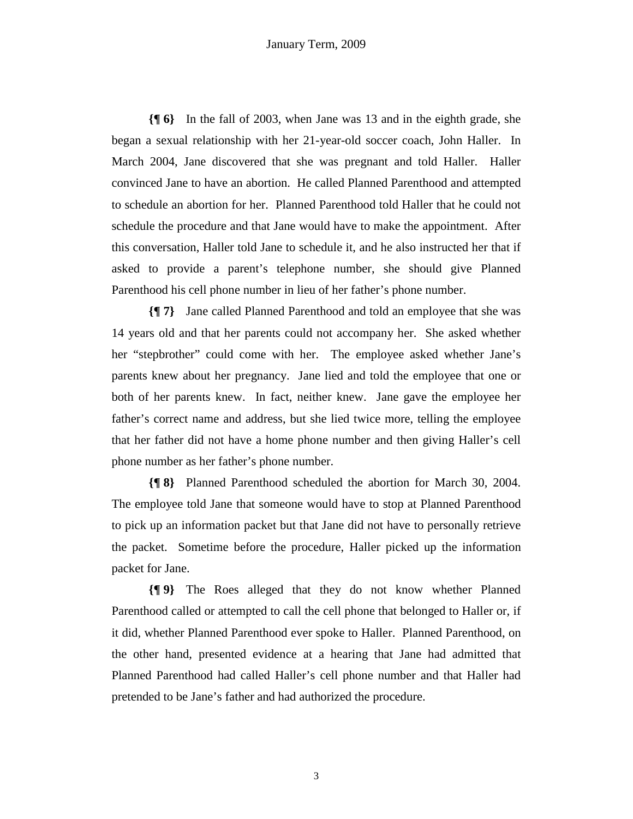**{¶ 6}** In the fall of 2003, when Jane was 13 and in the eighth grade, she began a sexual relationship with her 21-year-old soccer coach, John Haller. In March 2004, Jane discovered that she was pregnant and told Haller. Haller convinced Jane to have an abortion. He called Planned Parenthood and attempted to schedule an abortion for her. Planned Parenthood told Haller that he could not schedule the procedure and that Jane would have to make the appointment. After this conversation, Haller told Jane to schedule it, and he also instructed her that if asked to provide a parent's telephone number, she should give Planned Parenthood his cell phone number in lieu of her father's phone number.

**{¶ 7}** Jane called Planned Parenthood and told an employee that she was 14 years old and that her parents could not accompany her. She asked whether her "stepbrother" could come with her. The employee asked whether Jane's parents knew about her pregnancy. Jane lied and told the employee that one or both of her parents knew. In fact, neither knew. Jane gave the employee her father's correct name and address, but she lied twice more, telling the employee that her father did not have a home phone number and then giving Haller's cell phone number as her father's phone number.

**{¶ 8}** Planned Parenthood scheduled the abortion for March 30, 2004. The employee told Jane that someone would have to stop at Planned Parenthood to pick up an information packet but that Jane did not have to personally retrieve the packet. Sometime before the procedure, Haller picked up the information packet for Jane.

**{¶ 9}** The Roes alleged that they do not know whether Planned Parenthood called or attempted to call the cell phone that belonged to Haller or, if it did, whether Planned Parenthood ever spoke to Haller. Planned Parenthood, on the other hand, presented evidence at a hearing that Jane had admitted that Planned Parenthood had called Haller's cell phone number and that Haller had pretended to be Jane's father and had authorized the procedure.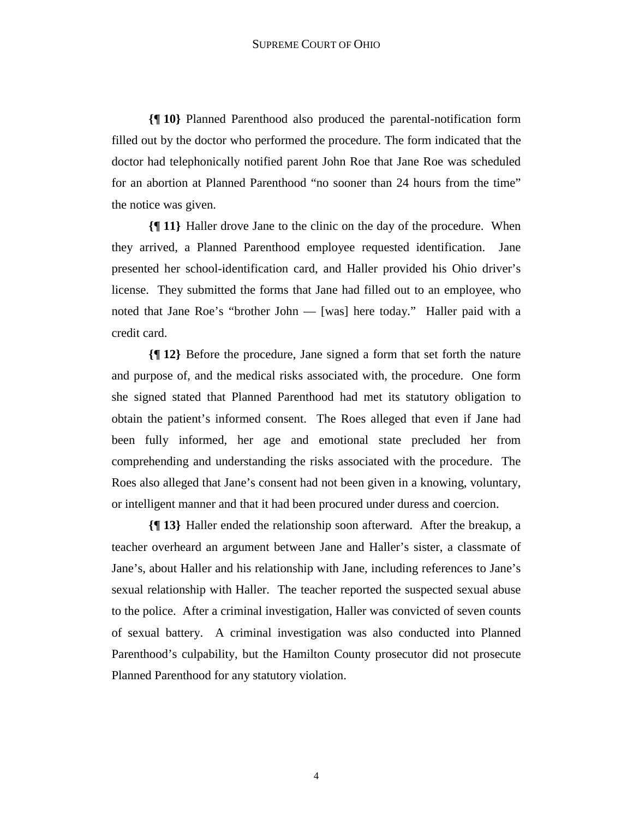**{¶ 10}** Planned Parenthood also produced the parental-notification form filled out by the doctor who performed the procedure. The form indicated that the doctor had telephonically notified parent John Roe that Jane Roe was scheduled for an abortion at Planned Parenthood "no sooner than 24 hours from the time" the notice was given.

**{¶ 11}** Haller drove Jane to the clinic on the day of the procedure. When they arrived, a Planned Parenthood employee requested identification. Jane presented her school-identification card, and Haller provided his Ohio driver's license. They submitted the forms that Jane had filled out to an employee, who noted that Jane Roe's "brother John — [was] here today." Haller paid with a credit card.

**{¶ 12}** Before the procedure, Jane signed a form that set forth the nature and purpose of, and the medical risks associated with, the procedure. One form she signed stated that Planned Parenthood had met its statutory obligation to obtain the patient's informed consent. The Roes alleged that even if Jane had been fully informed, her age and emotional state precluded her from comprehending and understanding the risks associated with the procedure. The Roes also alleged that Jane's consent had not been given in a knowing, voluntary, or intelligent manner and that it had been procured under duress and coercion.

**{¶ 13}** Haller ended the relationship soon afterward. After the breakup, a teacher overheard an argument between Jane and Haller's sister, a classmate of Jane's, about Haller and his relationship with Jane, including references to Jane's sexual relationship with Haller. The teacher reported the suspected sexual abuse to the police. After a criminal investigation, Haller was convicted of seven counts of sexual battery. A criminal investigation was also conducted into Planned Parenthood's culpability, but the Hamilton County prosecutor did not prosecute Planned Parenthood for any statutory violation.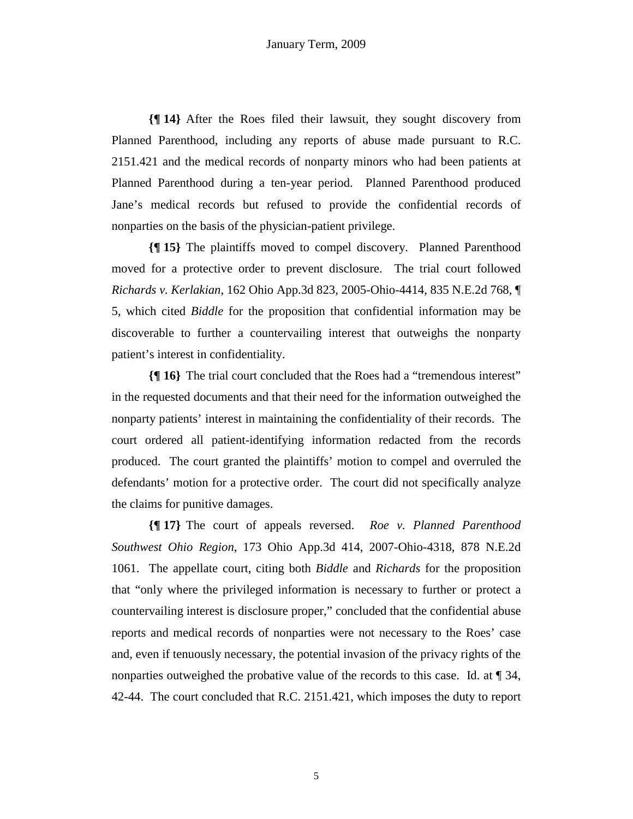**{¶ 14}** After the Roes filed their lawsuit, they sought discovery from Planned Parenthood, including any reports of abuse made pursuant to R.C. 2151.421 and the medical records of nonparty minors who had been patients at Planned Parenthood during a ten-year period. Planned Parenthood produced Jane's medical records but refused to provide the confidential records of nonparties on the basis of the physician-patient privilege.

**{¶ 15}** The plaintiffs moved to compel discovery. Planned Parenthood moved for a protective order to prevent disclosure. The trial court followed *Richards v. Kerlakian*, 162 Ohio App.3d 823, 2005-Ohio-4414, 835 N.E.2d 768, ¶ 5, which cited *Biddle* for the proposition that confidential information may be discoverable to further a countervailing interest that outweighs the nonparty patient's interest in confidentiality.

**{¶ 16}** The trial court concluded that the Roes had a "tremendous interest" in the requested documents and that their need for the information outweighed the nonparty patients' interest in maintaining the confidentiality of their records. The court ordered all patient-identifying information redacted from the records produced. The court granted the plaintiffs' motion to compel and overruled the defendants' motion for a protective order. The court did not specifically analyze the claims for punitive damages.

**{¶ 17}** The court of appeals reversed. *Roe v. Planned Parenthood Southwest Ohio Region*, 173 Ohio App.3d 414, 2007-Ohio-4318, 878 N.E.2d 1061. The appellate court, citing both *Biddle* and *Richards* for the proposition that "only where the privileged information is necessary to further or protect a countervailing interest is disclosure proper," concluded that the confidential abuse reports and medical records of nonparties were not necessary to the Roes' case and, even if tenuously necessary, the potential invasion of the privacy rights of the nonparties outweighed the probative value of the records to this case. Id. at ¶ 34, 42-44. The court concluded that R.C. 2151.421, which imposes the duty to report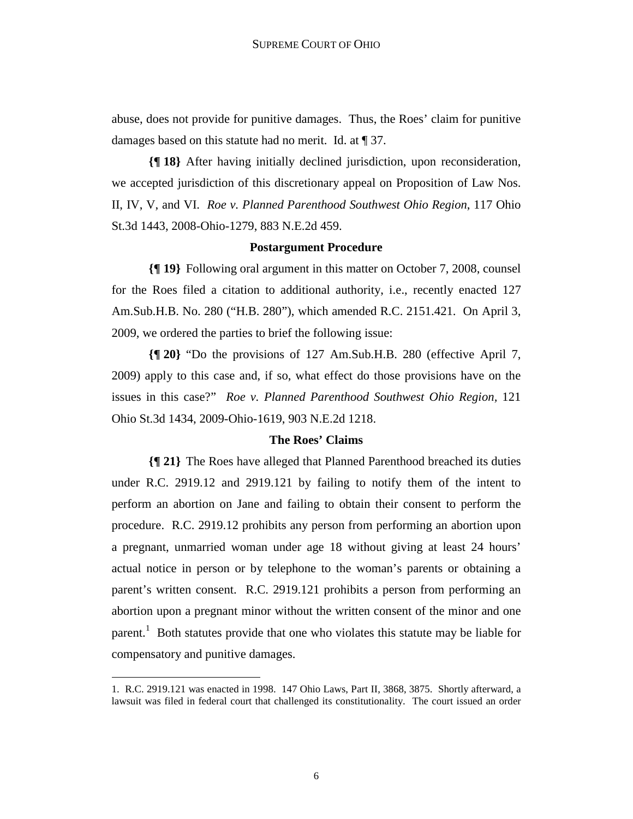abuse, does not provide for punitive damages. Thus, the Roes' claim for punitive damages based on this statute had no merit. Id. at ¶ 37.

**{¶ 18}** After having initially declined jurisdiction, upon reconsideration, we accepted jurisdiction of this discretionary appeal on Proposition of Law Nos. II, IV, V, and VI. *Roe v. Planned Parenthood Southwest Ohio Region*, 117 Ohio St.3d 1443, 2008-Ohio-1279, 883 N.E.2d 459.

#### **Postargument Procedure**

**{¶ 19}** Following oral argument in this matter on October 7, 2008, counsel for the Roes filed a citation to additional authority, i.e., recently enacted 127 Am.Sub.H.B. No. 280 ("H.B. 280"), which amended R.C. 2151.421. On April 3, 2009, we ordered the parties to brief the following issue:

**{¶ 20}** "Do the provisions of 127 Am.Sub.H.B. 280 (effective April 7, 2009) apply to this case and, if so, what effect do those provisions have on the issues in this case?" *Roe v. Planned Parenthood Southwest Ohio Region,* 121 Ohio St.3d 1434, 2009-Ohio-1619, 903 N.E.2d 1218.

#### **The Roes' Claims**

**{¶ 21}** The Roes have alleged that Planned Parenthood breached its duties under R.C. 2919.12 and 2919.121 by failing to notify them of the intent to perform an abortion on Jane and failing to obtain their consent to perform the procedure. R.C. 2919.12 prohibits any person from performing an abortion upon a pregnant, unmarried woman under age 18 without giving at least 24 hours' actual notice in person or by telephone to the woman's parents or obtaining a parent's written consent. R.C. 2919.121 prohibits a person from performing an abortion upon a pregnant minor without the written consent of the minor and one parent.<sup>1</sup> Both statutes provide that one who violates this statute may be liable for compensatory and punitive damages.

<sup>1.</sup> R.C. 2919.121 was enacted in 1998. 147 Ohio Laws, Part II, 3868, 3875. Shortly afterward, a lawsuit was filed in federal court that challenged its constitutionality. The court issued an order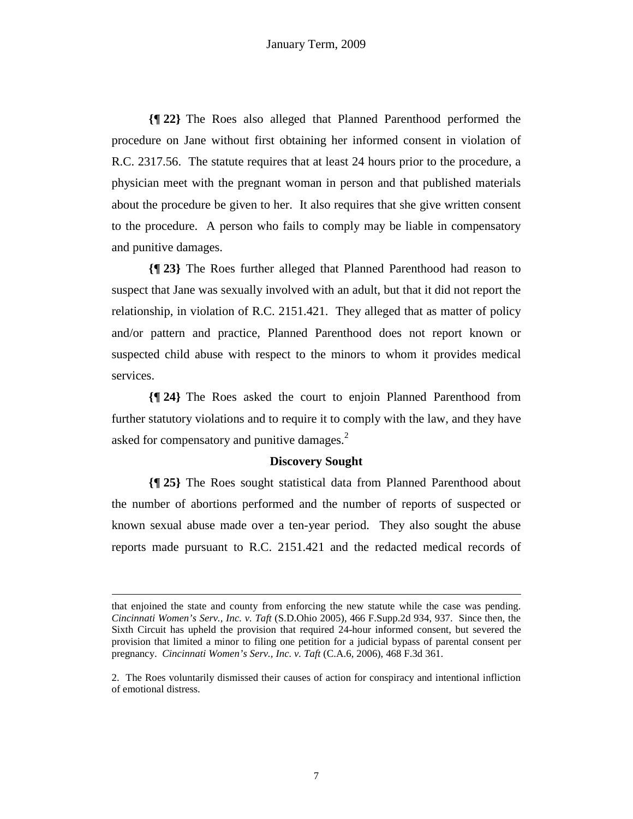**{¶ 22}** The Roes also alleged that Planned Parenthood performed the procedure on Jane without first obtaining her informed consent in violation of R.C. 2317.56. The statute requires that at least 24 hours prior to the procedure, a physician meet with the pregnant woman in person and that published materials about the procedure be given to her. It also requires that she give written consent to the procedure. A person who fails to comply may be liable in compensatory and punitive damages.

**{¶ 23}** The Roes further alleged that Planned Parenthood had reason to suspect that Jane was sexually involved with an adult, but that it did not report the relationship, in violation of R.C. 2151.421. They alleged that as matter of policy and/or pattern and practice, Planned Parenthood does not report known or suspected child abuse with respect to the minors to whom it provides medical services.

**{¶ 24}** The Roes asked the court to enjoin Planned Parenthood from further statutory violations and to require it to comply with the law, and they have asked for compensatory and punitive damages.<sup>2</sup>

#### **Discovery Sought**

**{¶ 25}** The Roes sought statistical data from Planned Parenthood about the number of abortions performed and the number of reports of suspected or known sexual abuse made over a ten-year period. They also sought the abuse reports made pursuant to R.C. 2151.421 and the redacted medical records of

that enjoined the state and county from enforcing the new statute while the case was pending. *Cincinnati Women's Serv., Inc. v. Taft* (S.D.Ohio 2005), 466 F.Supp.2d 934, 937. Since then, the Sixth Circuit has upheld the provision that required 24-hour informed consent, but severed the provision that limited a minor to filing one petition for a judicial bypass of parental consent per pregnancy. *Cincinnati Women's Serv., Inc. v. Taft* (C.A.6, 2006), 468 F.3d 361.

<sup>2.</sup> The Roes voluntarily dismissed their causes of action for conspiracy and intentional infliction of emotional distress.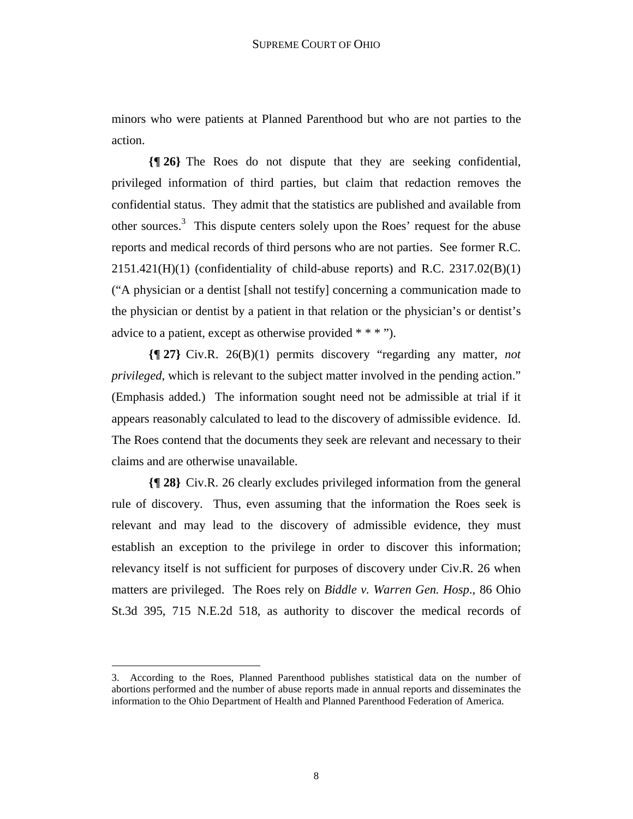minors who were patients at Planned Parenthood but who are not parties to the action.

**{¶ 26}** The Roes do not dispute that they are seeking confidential, privileged information of third parties, but claim that redaction removes the confidential status. They admit that the statistics are published and available from other sources.<sup>3</sup> This dispute centers solely upon the Roes' request for the abuse reports and medical records of third persons who are not parties. See former R.C.  $2151.421(H)(1)$  (confidentiality of child-abuse reports) and R.C.  $2317.02(B)(1)$ ("A physician or a dentist [shall not testify] concerning a communication made to the physician or dentist by a patient in that relation or the physician's or dentist's advice to a patient, except as otherwise provided \* \* \* ").

**{¶ 27}** Civ.R. 26(B)(1) permits discovery "regarding any matter, *not privileged*, which is relevant to the subject matter involved in the pending action." (Emphasis added.) The information sought need not be admissible at trial if it appears reasonably calculated to lead to the discovery of admissible evidence. Id. The Roes contend that the documents they seek are relevant and necessary to their claims and are otherwise unavailable.

**{¶ 28}** Civ.R. 26 clearly excludes privileged information from the general rule of discovery. Thus, even assuming that the information the Roes seek is relevant and may lead to the discovery of admissible evidence, they must establish an exception to the privilege in order to discover this information; relevancy itself is not sufficient for purposes of discovery under Civ.R. 26 when matters are privileged. The Roes rely on *Biddle v. Warren Gen. Hosp*., 86 Ohio St.3d 395, 715 N.E.2d 518, as authority to discover the medical records of

<sup>3.</sup> According to the Roes, Planned Parenthood publishes statistical data on the number of abortions performed and the number of abuse reports made in annual reports and disseminates the information to the Ohio Department of Health and Planned Parenthood Federation of America.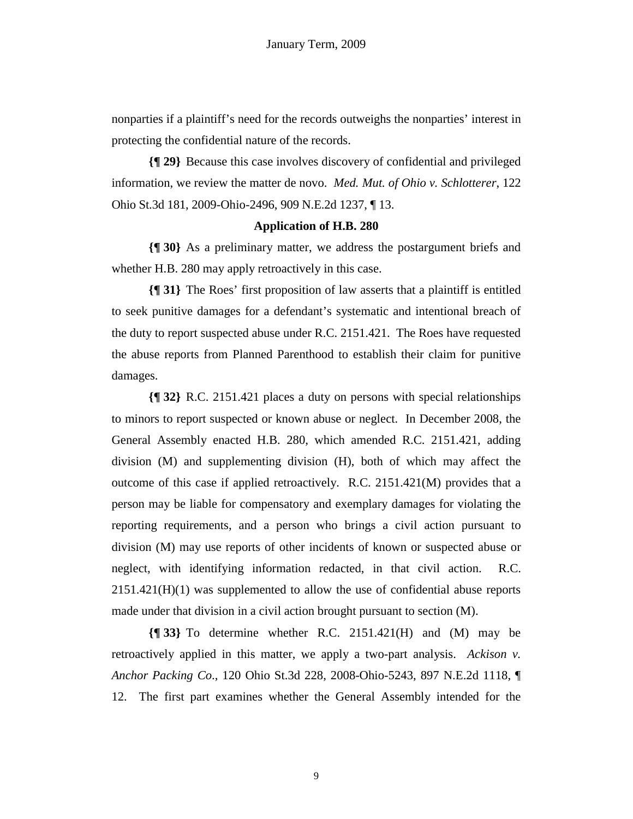nonparties if a plaintiff's need for the records outweighs the nonparties' interest in protecting the confidential nature of the records.

**{¶ 29}** Because this case involves discovery of confidential and privileged information, we review the matter de novo. *Med. Mut. of Ohio v. Schlotterer*, 122 Ohio St.3d 181, 2009-Ohio-2496, 909 N.E.2d 1237, ¶ 13.

#### **Application of H.B. 280**

**{¶ 30}** As a preliminary matter, we address the postargument briefs and whether H.B. 280 may apply retroactively in this case.

**{¶ 31}** The Roes' first proposition of law asserts that a plaintiff is entitled to seek punitive damages for a defendant's systematic and intentional breach of the duty to report suspected abuse under R.C. 2151.421. The Roes have requested the abuse reports from Planned Parenthood to establish their claim for punitive damages.

**{¶ 32}** R.C. 2151.421 places a duty on persons with special relationships to minors to report suspected or known abuse or neglect. In December 2008, the General Assembly enacted H.B. 280, which amended R.C. 2151.421, adding division (M) and supplementing division (H), both of which may affect the outcome of this case if applied retroactively. R.C. 2151.421(M) provides that a person may be liable for compensatory and exemplary damages for violating the reporting requirements, and a person who brings a civil action pursuant to division (M) may use reports of other incidents of known or suspected abuse or neglect, with identifying information redacted, in that civil action. R.C. 2151.421(H)(1) was supplemented to allow the use of confidential abuse reports made under that division in a civil action brought pursuant to section (M).

**{¶ 33}** To determine whether R.C. 2151.421(H) and (M) may be retroactively applied in this matter, we apply a two-part analysis. *Ackison v. Anchor Packing Co*., 120 Ohio St.3d 228, 2008-Ohio-5243, 897 N.E.2d 1118, ¶ 12. The first part examines whether the General Assembly intended for the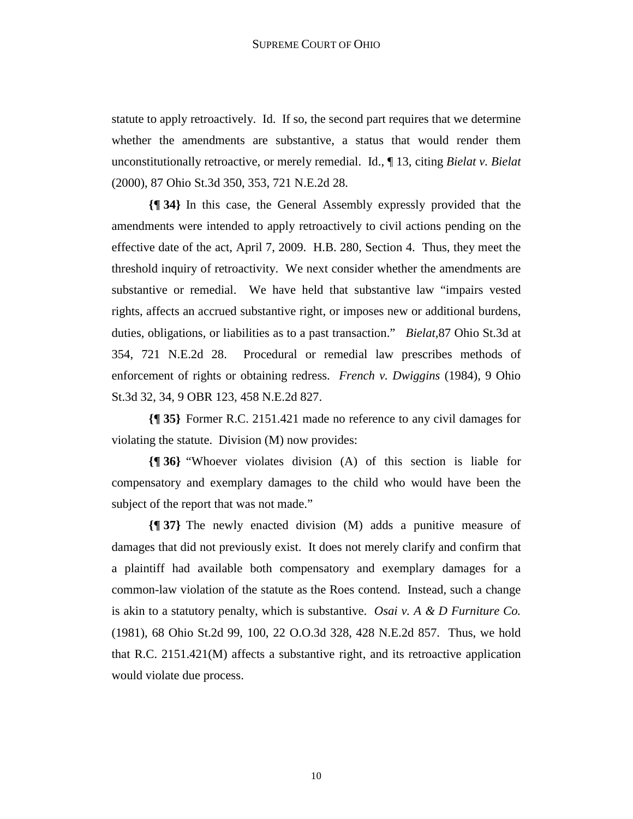statute to apply retroactively. Id. If so, the second part requires that we determine whether the amendments are substantive, a status that would render them unconstitutionally retroactive, or merely remedial. Id., ¶ 13, citing *Bielat v. Bielat*  (2000), 87 Ohio St.3d 350, 353, 721 N.E.2d 28.

**{¶ 34}** In this case, the General Assembly expressly provided that the amendments were intended to apply retroactively to civil actions pending on the effective date of the act, April 7, 2009. H.B. 280, Section 4. Thus, they meet the threshold inquiry of retroactivity. We next consider whether the amendments are substantive or remedial. We have held that substantive law "impairs vested rights, affects an accrued substantive right, or imposes new or additional burdens, duties, obligations, or liabilities as to a past transaction." *Bielat,*87 Ohio St.3d at 354, 721 N.E.2d 28. Procedural or remedial law prescribes methods of enforcement of rights or obtaining redress. *French v. Dwiggins* (1984), 9 Ohio St.3d 32, 34, 9 OBR 123, 458 N.E.2d 827.

**{¶ 35}** Former R.C. 2151.421 made no reference to any civil damages for violating the statute. Division (M) now provides:

**{¶ 36}** "Whoever violates division (A) of this section is liable for compensatory and exemplary damages to the child who would have been the subject of the report that was not made."

**{¶ 37}** The newly enacted division (M) adds a punitive measure of damages that did not previously exist. It does not merely clarify and confirm that a plaintiff had available both compensatory and exemplary damages for a common-law violation of the statute as the Roes contend. Instead, such a change is akin to a statutory penalty, which is substantive. *Osai v. A & D Furniture Co.*  (1981), 68 Ohio St.2d 99, 100, 22 O.O.3d 328, 428 N.E.2d 857. Thus, we hold that R.C. 2151.421(M) affects a substantive right, and its retroactive application would violate due process.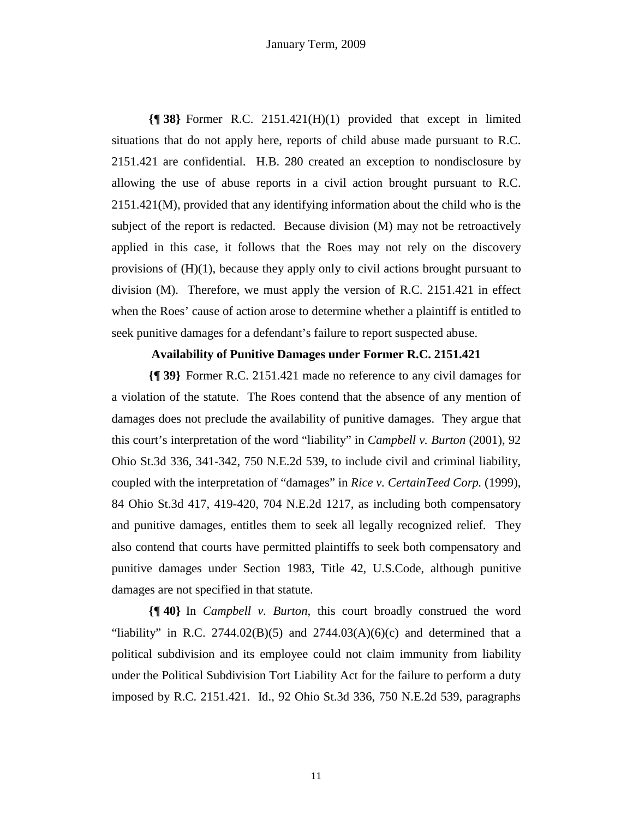**{¶ 38}** Former R.C. 2151.421(H)(1) provided that except in limited situations that do not apply here, reports of child abuse made pursuant to R.C. 2151.421 are confidential. H.B. 280 created an exception to nondisclosure by allowing the use of abuse reports in a civil action brought pursuant to R.C. 2151.421(M), provided that any identifying information about the child who is the subject of the report is redacted. Because division (M) may not be retroactively applied in this case, it follows that the Roes may not rely on the discovery provisions of (H)(1), because they apply only to civil actions brought pursuant to division (M). Therefore, we must apply the version of R.C. 2151.421 in effect when the Roes' cause of action arose to determine whether a plaintiff is entitled to seek punitive damages for a defendant's failure to report suspected abuse.

#### **Availability of Punitive Damages under Former R.C. 2151.421**

**{¶ 39}** Former R.C. 2151.421 made no reference to any civil damages for a violation of the statute. The Roes contend that the absence of any mention of damages does not preclude the availability of punitive damages. They argue that this court's interpretation of the word "liability" in *Campbell v. Burton* (2001), 92 Ohio St.3d 336, 341-342, 750 N.E.2d 539, to include civil and criminal liability, coupled with the interpretation of "damages" in *Rice v. CertainTeed Corp.* (1999), 84 Ohio St.3d 417, 419-420, 704 N.E.2d 1217, as including both compensatory and punitive damages, entitles them to seek all legally recognized relief. They also contend that courts have permitted plaintiffs to seek both compensatory and punitive damages under Section 1983, Title 42, U.S.Code, although punitive damages are not specified in that statute.

**{¶ 40}** In *Campbell v. Burton*, this court broadly construed the word "liability" in R.C. 2744.02(B)(5) and 2744.03(A)(6)(c) and determined that a political subdivision and its employee could not claim immunity from liability under the Political Subdivision Tort Liability Act for the failure to perform a duty imposed by R.C. 2151.421. Id., 92 Ohio St.3d 336, 750 N.E.2d 539, paragraphs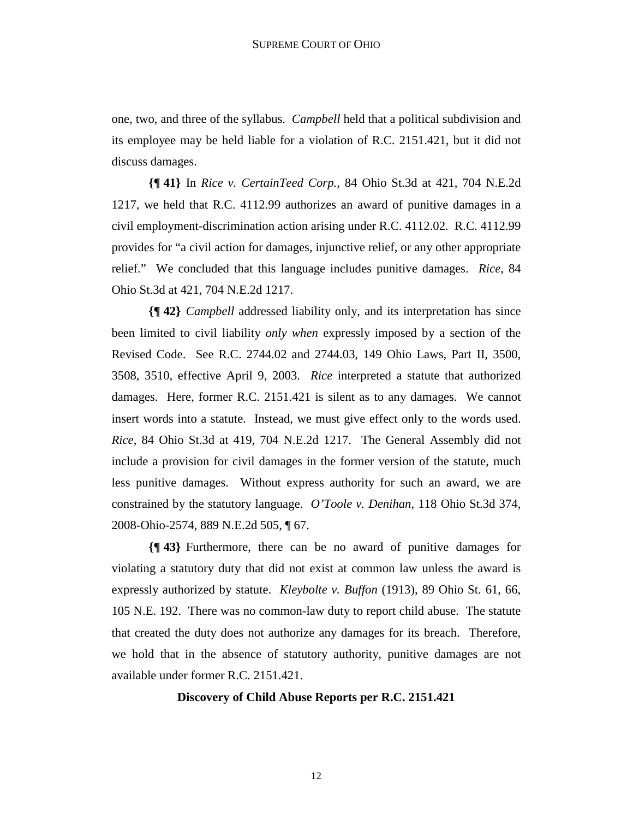one, two, and three of the syllabus. *Campbell* held that a political subdivision and its employee may be held liable for a violation of R.C. 2151.421, but it did not discuss damages.

**{¶ 41}** In *Rice v. CertainTeed Corp.,* 84 Ohio St.3d at 421, 704 N.E.2d 1217, we held that R.C. 4112.99 authorizes an award of punitive damages in a civil employment-discrimination action arising under R.C. 4112.02. R.C. 4112.99 provides for "a civil action for damages, injunctive relief, or any other appropriate relief." We concluded that this language includes punitive damages. *Rice*, 84 Ohio St.3d at 421, 704 N.E.2d 1217.

**{¶ 42}** *Campbell* addressed liability only, and its interpretation has since been limited to civil liability *only when* expressly imposed by a section of the Revised Code. See R.C. 2744.02 and 2744.03, 149 Ohio Laws, Part II, 3500, 3508, 3510, effective April 9, 2003. *Rice* interpreted a statute that authorized damages. Here, former R.C. 2151.421 is silent as to any damages. We cannot insert words into a statute. Instead, we must give effect only to the words used. *Rice*, 84 Ohio St.3d at 419, 704 N.E.2d 1217. The General Assembly did not include a provision for civil damages in the former version of the statute, much less punitive damages. Without express authority for such an award, we are constrained by the statutory language. *O'Toole v. Denihan*, 118 Ohio St.3d 374, 2008-Ohio-2574, 889 N.E.2d 505, ¶ 67.

**{¶ 43}** Furthermore, there can be no award of punitive damages for violating a statutory duty that did not exist at common law unless the award is expressly authorized by statute. *Kleybolte v. Buffon* (1913), 89 Ohio St. 61, 66, 105 N.E. 192. There was no common-law duty to report child abuse. The statute that created the duty does not authorize any damages for its breach. Therefore, we hold that in the absence of statutory authority, punitive damages are not available under former R.C. 2151.421.

#### **Discovery of Child Abuse Reports per R.C. 2151.421**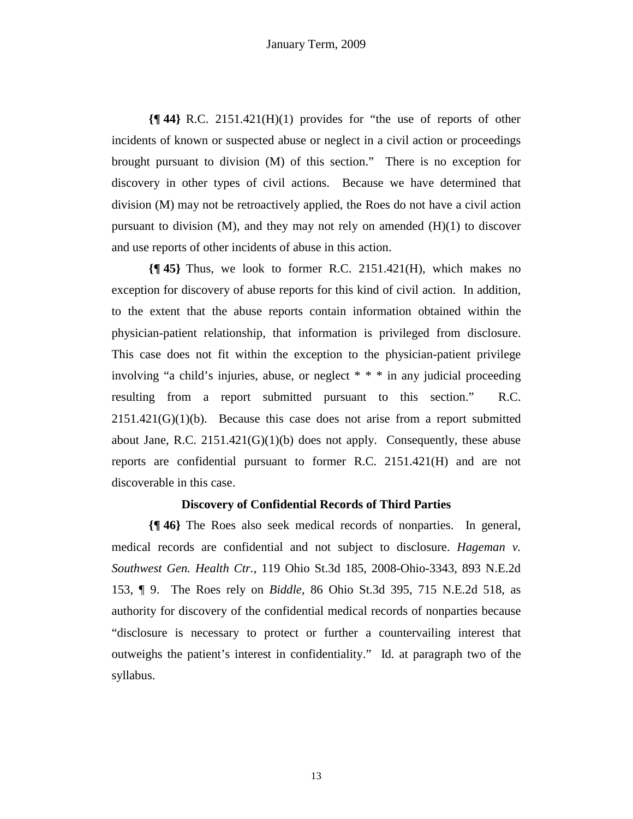**{¶ 44}** R.C. 2151.421(H)(1) provides for "the use of reports of other incidents of known or suspected abuse or neglect in a civil action or proceedings brought pursuant to division (M) of this section." There is no exception for discovery in other types of civil actions. Because we have determined that division (M) may not be retroactively applied, the Roes do not have a civil action pursuant to division  $(M)$ , and they may not rely on amended  $(H)(1)$  to discover and use reports of other incidents of abuse in this action.

**{¶ 45}** Thus, we look to former R.C. 2151.421(H), which makes no exception for discovery of abuse reports for this kind of civil action. In addition, to the extent that the abuse reports contain information obtained within the physician-patient relationship, that information is privileged from disclosure. This case does not fit within the exception to the physician-patient privilege involving "a child's injuries, abuse, or neglect  $* * *$  in any judicial proceeding resulting from a report submitted pursuant to this section." R.C.  $2151.421(G)(1)(b)$ . Because this case does not arise from a report submitted about Jane, R.C.  $2151.421(G)(1)(b)$  does not apply. Consequently, these abuse reports are confidential pursuant to former R.C. 2151.421(H) and are not discoverable in this case.

#### **Discovery of Confidential Records of Third Parties**

**{¶ 46}** The Roes also seek medical records of nonparties. In general, medical records are confidential and not subject to disclosure. *Hageman v. Southwest Gen. Health Ctr.*, 119 Ohio St.3d 185, 2008-Ohio-3343, 893 N.E.2d 153, ¶ 9. The Roes rely on *Biddle,* 86 Ohio St.3d 395, 715 N.E.2d 518, as authority for discovery of the confidential medical records of nonparties because "disclosure is necessary to protect or further a countervailing interest that outweighs the patient's interest in confidentiality." Id. at paragraph two of the syllabus.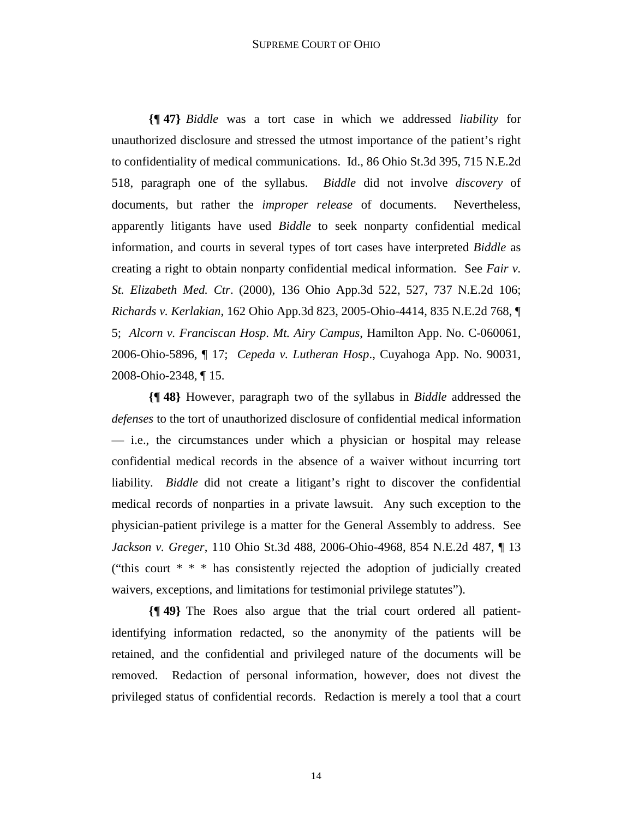**{¶ 47}** *Biddle* was a tort case in which we addressed *liability* for unauthorized disclosure and stressed the utmost importance of the patient's right to confidentiality of medical communications. Id., 86 Ohio St.3d 395, 715 N.E.2d 518, paragraph one of the syllabus. *Biddle* did not involve *discovery* of documents, but rather the *improper release* of documents. Nevertheless, apparently litigants have used *Biddle* to seek nonparty confidential medical information, and courts in several types of tort cases have interpreted *Biddle* as creating a right to obtain nonparty confidential medical information. See *Fair v. St. Elizabeth Med. Ctr*. (2000), 136 Ohio App.3d 522, 527, 737 N.E.2d 106; *Richards v. Kerlakian*, 162 Ohio App.3d 823, 2005-Ohio-4414, 835 N.E.2d 768, ¶ 5; *Alcorn v. Franciscan Hosp*. *Mt. Airy Campus*, Hamilton App. No. C-060061, 2006-Ohio-5896, ¶ 17; *Cepeda v. Lutheran Hosp*., Cuyahoga App. No. 90031, 2008-Ohio-2348, ¶ 15.

**{¶ 48}** However, paragraph two of the syllabus in *Biddle* addressed the *defenses* to the tort of unauthorized disclosure of confidential medical information — i.e., the circumstances under which a physician or hospital may release confidential medical records in the absence of a waiver without incurring tort liability. *Biddle* did not create a litigant's right to discover the confidential medical records of nonparties in a private lawsuit. Any such exception to the physician-patient privilege is a matter for the General Assembly to address. See *Jackson v. Greger*, 110 Ohio St.3d 488, 2006-Ohio-4968, 854 N.E.2d 487, ¶ 13 ("this court \* \* \* has consistently rejected the adoption of judicially created waivers, exceptions, and limitations for testimonial privilege statutes").

**{¶ 49}** The Roes also argue that the trial court ordered all patientidentifying information redacted, so the anonymity of the patients will be retained, and the confidential and privileged nature of the documents will be removed. Redaction of personal information, however, does not divest the privileged status of confidential records. Redaction is merely a tool that a court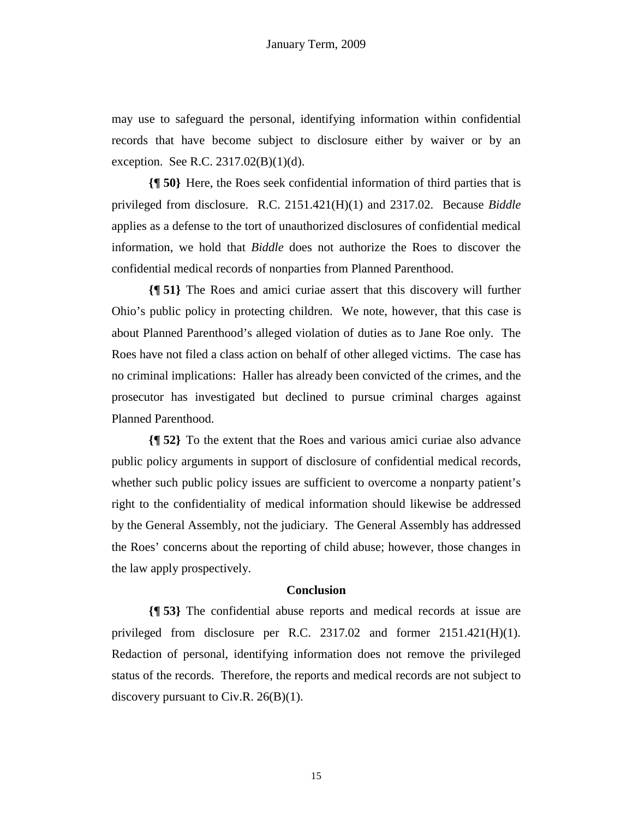may use to safeguard the personal, identifying information within confidential records that have become subject to disclosure either by waiver or by an exception. See R.C. 2317.02(B)(1)(d).

**{¶ 50}** Here, the Roes seek confidential information of third parties that is privileged from disclosure. R.C. 2151.421(H)(1) and 2317.02. Because *Biddle* applies as a defense to the tort of unauthorized disclosures of confidential medical information, we hold that *Biddle* does not authorize the Roes to discover the confidential medical records of nonparties from Planned Parenthood.

**{¶ 51}** The Roes and amici curiae assert that this discovery will further Ohio's public policy in protecting children. We note, however, that this case is about Planned Parenthood's alleged violation of duties as to Jane Roe only. The Roes have not filed a class action on behalf of other alleged victims. The case has no criminal implications: Haller has already been convicted of the crimes, and the prosecutor has investigated but declined to pursue criminal charges against Planned Parenthood.

**{¶ 52}** To the extent that the Roes and various amici curiae also advance public policy arguments in support of disclosure of confidential medical records, whether such public policy issues are sufficient to overcome a nonparty patient's right to the confidentiality of medical information should likewise be addressed by the General Assembly, not the judiciary. The General Assembly has addressed the Roes' concerns about the reporting of child abuse; however, those changes in the law apply prospectively.

#### **Conclusion**

**{¶ 53}** The confidential abuse reports and medical records at issue are privileged from disclosure per R.C. 2317.02 and former 2151.421(H)(1). Redaction of personal, identifying information does not remove the privileged status of the records. Therefore, the reports and medical records are not subject to discovery pursuant to Civ.R.  $26(B)(1)$ .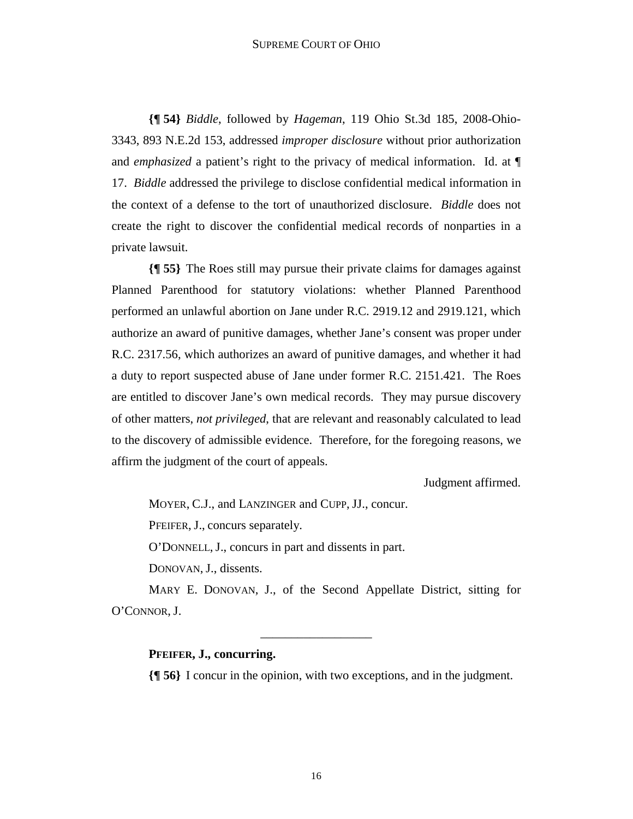**{¶ 54}** *Biddle*, followed by *Hageman*, 119 Ohio St.3d 185, 2008-Ohio-3343, 893 N.E.2d 153, addressed *improper disclosure* without prior authorization and *emphasized* a patient's right to the privacy of medical information. Id. at ¶ 17. *Biddle* addressed the privilege to disclose confidential medical information in the context of a defense to the tort of unauthorized disclosure. *Biddle* does not create the right to discover the confidential medical records of nonparties in a private lawsuit.

**{¶ 55}** The Roes still may pursue their private claims for damages against Planned Parenthood for statutory violations: whether Planned Parenthood performed an unlawful abortion on Jane under R.C. 2919.12 and 2919.121, which authorize an award of punitive damages, whether Jane's consent was proper under R.C. 2317.56, which authorizes an award of punitive damages, and whether it had a duty to report suspected abuse of Jane under former R.C. 2151.421. The Roes are entitled to discover Jane's own medical records. They may pursue discovery of other matters, *not privileged*, that are relevant and reasonably calculated to lead to the discovery of admissible evidence. Therefore, for the foregoing reasons, we affirm the judgment of the court of appeals.

Judgment affirmed.

MOYER, C.J., and LANZINGER and CUPP, JJ., concur.

PFEIFER, J., concurs separately.

O'DONNELL, J., concurs in part and dissents in part.

DONOVAN, J., dissents.

 MARY E. DONOVAN, J., of the Second Appellate District, sitting for O'CONNOR, J.

\_\_\_\_\_\_\_\_\_\_\_\_\_\_\_\_\_\_

### **PFEIFER, J., concurring.**

**{¶ 56}** I concur in the opinion, with two exceptions, and in the judgment.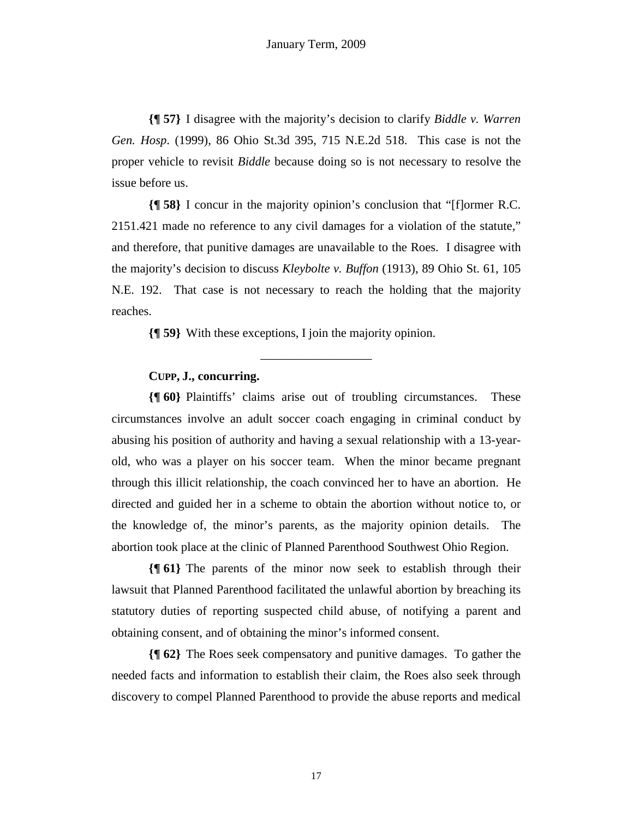**{¶ 57}** I disagree with the majority's decision to clarify *Biddle v. Warren Gen. Hosp*. (1999), 86 Ohio St.3d 395, 715 N.E.2d 518. This case is not the proper vehicle to revisit *Biddle* because doing so is not necessary to resolve the issue before us.

**{¶ 58}** I concur in the majority opinion's conclusion that "[f]ormer R.C. 2151.421 made no reference to any civil damages for a violation of the statute," and therefore, that punitive damages are unavailable to the Roes. I disagree with the majority's decision to discuss *Kleybolte v. Buffon* (1913), 89 Ohio St. 61, 105 N.E. 192. That case is not necessary to reach the holding that the majority reaches.

\_\_\_\_\_\_\_\_\_\_\_\_\_\_\_\_\_\_

**{¶ 59}** With these exceptions, I join the majority opinion.

## **CUPP, J., concurring.**

**{¶ 60}** Plaintiffs' claims arise out of troubling circumstances. These circumstances involve an adult soccer coach engaging in criminal conduct by abusing his position of authority and having a sexual relationship with a 13-yearold, who was a player on his soccer team. When the minor became pregnant through this illicit relationship, the coach convinced her to have an abortion. He directed and guided her in a scheme to obtain the abortion without notice to, or the knowledge of, the minor's parents, as the majority opinion details. The abortion took place at the clinic of Planned Parenthood Southwest Ohio Region.

**{¶ 61}** The parents of the minor now seek to establish through their lawsuit that Planned Parenthood facilitated the unlawful abortion by breaching its statutory duties of reporting suspected child abuse, of notifying a parent and obtaining consent, and of obtaining the minor's informed consent.

**{¶ 62}** The Roes seek compensatory and punitive damages. To gather the needed facts and information to establish their claim, the Roes also seek through discovery to compel Planned Parenthood to provide the abuse reports and medical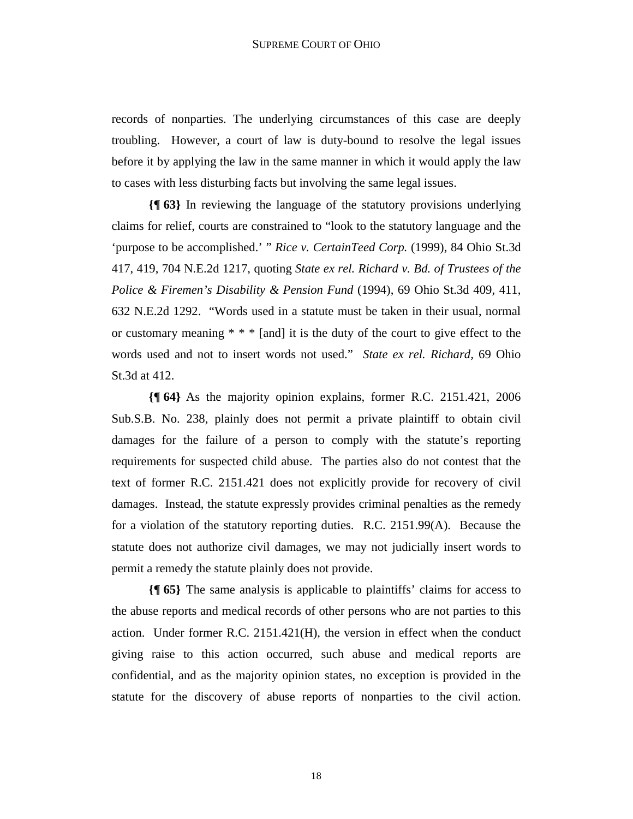records of nonparties. The underlying circumstances of this case are deeply troubling. However, a court of law is duty-bound to resolve the legal issues before it by applying the law in the same manner in which it would apply the law to cases with less disturbing facts but involving the same legal issues.

**{¶ 63}** In reviewing the language of the statutory provisions underlying claims for relief, courts are constrained to "look to the statutory language and the 'purpose to be accomplished.' " *Rice v. CertainTeed Corp.* (1999), 84 Ohio St.3d 417, 419, 704 N.E.2d 1217, quoting *State ex rel. Richard v. Bd. of Trustees of the Police & Firemen's Disability & Pension Fund* (1994), 69 Ohio St.3d 409, 411, 632 N.E.2d 1292. "Words used in a statute must be taken in their usual, normal or customary meaning \* \* \* [and] it is the duty of the court to give effect to the words used and not to insert words not used." *State ex rel. Richard,* 69 Ohio St.3d at 412.

**{¶ 64}** As the majority opinion explains, former R.C. 2151.421, 2006 Sub.S.B. No. 238, plainly does not permit a private plaintiff to obtain civil damages for the failure of a person to comply with the statute's reporting requirements for suspected child abuse. The parties also do not contest that the text of former R.C. 2151.421 does not explicitly provide for recovery of civil damages. Instead, the statute expressly provides criminal penalties as the remedy for a violation of the statutory reporting duties. R.C. 2151.99(A). Because the statute does not authorize civil damages, we may not judicially insert words to permit a remedy the statute plainly does not provide.

**{¶ 65}** The same analysis is applicable to plaintiffs' claims for access to the abuse reports and medical records of other persons who are not parties to this action. Under former R.C.  $2151.421(H)$ , the version in effect when the conduct giving raise to this action occurred, such abuse and medical reports are confidential, and as the majority opinion states, no exception is provided in the statute for the discovery of abuse reports of nonparties to the civil action.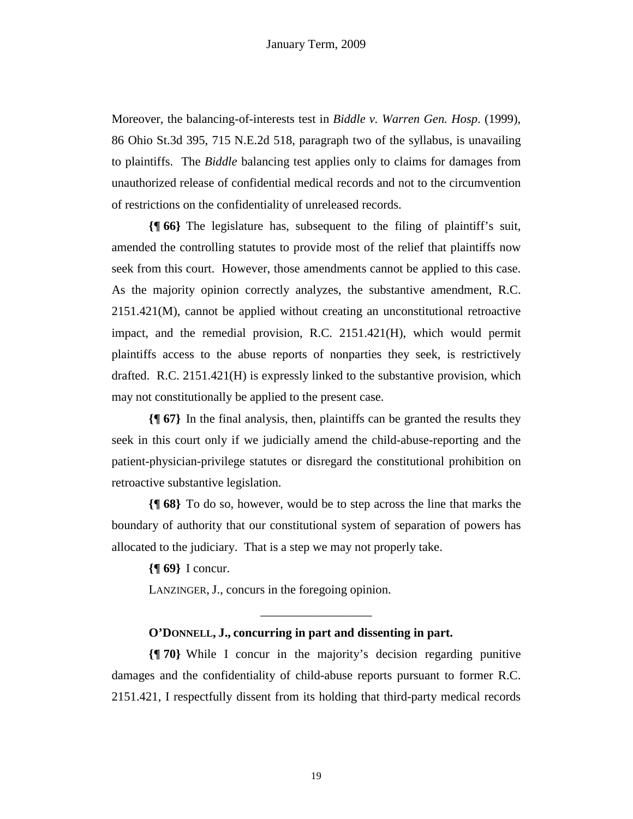Moreover, the balancing-of-interests test in *Biddle v. Warren Gen. Hosp*. (1999), 86 Ohio St.3d 395, 715 N.E.2d 518, paragraph two of the syllabus, is unavailing to plaintiffs. The *Biddle* balancing test applies only to claims for damages from unauthorized release of confidential medical records and not to the circumvention of restrictions on the confidentiality of unreleased records.

**{¶ 66}** The legislature has, subsequent to the filing of plaintiff's suit, amended the controlling statutes to provide most of the relief that plaintiffs now seek from this court. However, those amendments cannot be applied to this case. As the majority opinion correctly analyzes, the substantive amendment, R.C. 2151.421(M), cannot be applied without creating an unconstitutional retroactive impact, and the remedial provision, R.C. 2151.421(H), which would permit plaintiffs access to the abuse reports of nonparties they seek, is restrictively drafted. R.C. 2151.421(H) is expressly linked to the substantive provision, which may not constitutionally be applied to the present case.

**{¶ 67}** In the final analysis, then, plaintiffs can be granted the results they seek in this court only if we judicially amend the child-abuse-reporting and the patient-physician-privilege statutes or disregard the constitutional prohibition on retroactive substantive legislation.

**{¶ 68}** To do so, however, would be to step across the line that marks the boundary of authority that our constitutional system of separation of powers has allocated to the judiciary. That is a step we may not properly take.

**{¶ 69}** I concur.

LANZINGER, J., concurs in the foregoing opinion.

### **O'DONNELL, J., concurring in part and dissenting in part.**

**{¶ 70}** While I concur in the majority's decision regarding punitive damages and the confidentiality of child-abuse reports pursuant to former R.C. 2151.421, I respectfully dissent from its holding that third-party medical records

\_\_\_\_\_\_\_\_\_\_\_\_\_\_\_\_\_\_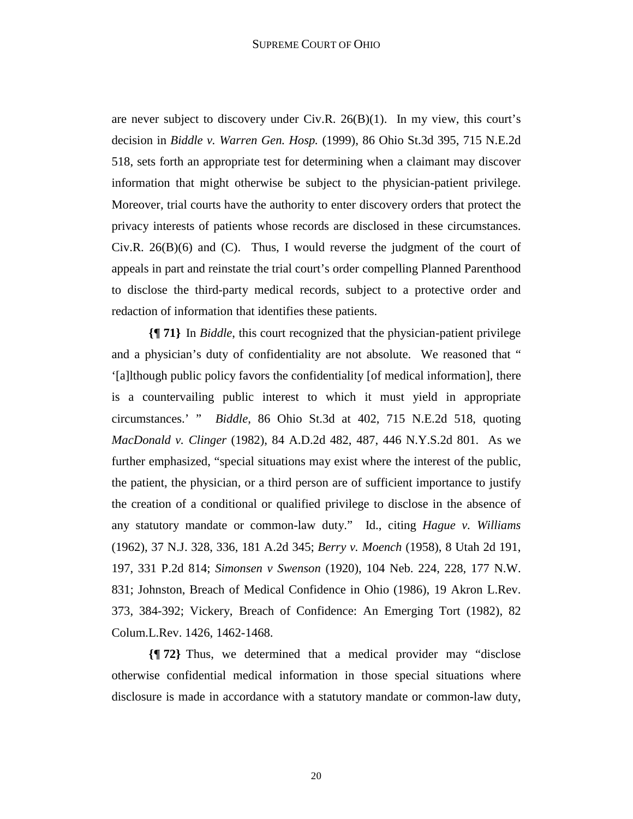are never subject to discovery under Civ.R. 26(B)(1). In my view, this court's decision in *Biddle v. Warren Gen. Hosp.* (1999), 86 Ohio St.3d 395, 715 N.E.2d 518, sets forth an appropriate test for determining when a claimant may discover information that might otherwise be subject to the physician-patient privilege. Moreover, trial courts have the authority to enter discovery orders that protect the privacy interests of patients whose records are disclosed in these circumstances. Civ.R.  $26(B)(6)$  and (C). Thus, I would reverse the judgment of the court of appeals in part and reinstate the trial court's order compelling Planned Parenthood to disclose the third-party medical records, subject to a protective order and redaction of information that identifies these patients.

**{¶ 71}** In *Biddle*, this court recognized that the physician-patient privilege and a physician's duty of confidentiality are not absolute. We reasoned that " '[a]lthough public policy favors the confidentiality [of medical information], there is a countervailing public interest to which it must yield in appropriate circumstances.' " *Biddle*, 86 Ohio St.3d at 402, 715 N.E.2d 518, quoting *MacDonald v. Clinger* (1982), 84 A.D.2d 482, 487, 446 N.Y.S.2d 801. As we further emphasized, "special situations may exist where the interest of the public, the patient, the physician, or a third person are of sufficient importance to justify the creation of a conditional or qualified privilege to disclose in the absence of any statutory mandate or common-law duty." Id., citing *Hague v. Williams*  (1962), 37 N.J. 328, 336, 181 A.2d 345; *Berry v. Moench* (1958), 8 Utah 2d 191, 197, 331 P.2d 814; *Simonsen v Swenson* (1920), 104 Neb. 224, 228, 177 N.W. 831; Johnston, Breach of Medical Confidence in Ohio (1986), 19 Akron L.Rev. 373, 384-392; Vickery, Breach of Confidence: An Emerging Tort (1982), 82 Colum.L.Rev. 1426, 1462-1468.

**{¶ 72}** Thus, we determined that a medical provider may "disclose otherwise confidential medical information in those special situations where disclosure is made in accordance with a statutory mandate or common-law duty,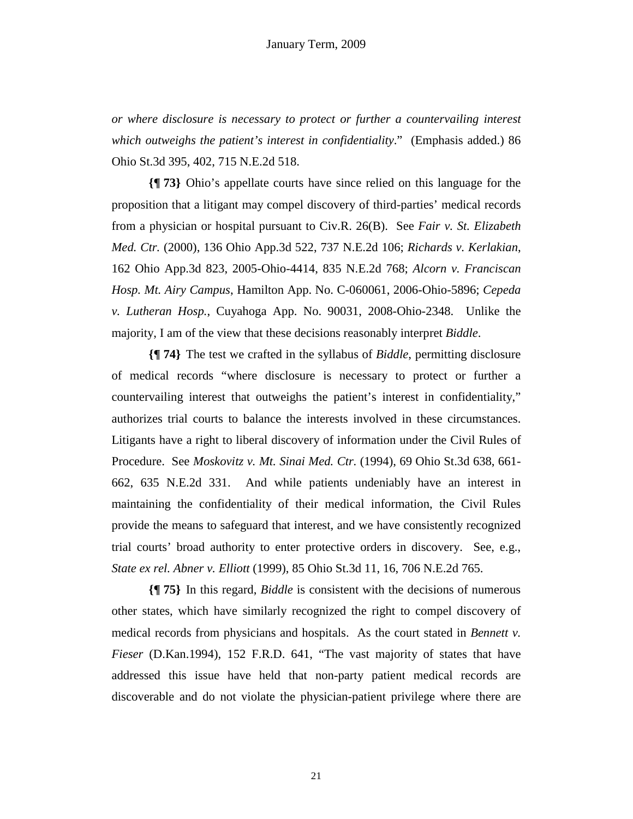*or where disclosure is necessary to protect or further a countervailing interest which outweighs the patient's interest in confidentiality*." (Emphasis added.) 86 Ohio St.3d 395, 402, 715 N.E.2d 518.

**{¶ 73}** Ohio's appellate courts have since relied on this language for the proposition that a litigant may compel discovery of third-parties' medical records from a physician or hospital pursuant to Civ.R. 26(B). See *Fair v. St. Elizabeth Med. Ctr.* (2000), 136 Ohio App.3d 522, 737 N.E.2d 106; *Richards v. Kerlakian*, 162 Ohio App.3d 823, 2005-Ohio-4414, 835 N.E.2d 768; *Alcorn v. Franciscan Hosp. Mt. Airy Campus*, Hamilton App. No. C-060061, 2006-Ohio-5896; *Cepeda v. Lutheran Hosp.*, Cuyahoga App. No. 90031, 2008-Ohio-2348. Unlike the majority, I am of the view that these decisions reasonably interpret *Biddle*.

**{¶ 74}** The test we crafted in the syllabus of *Biddle*, permitting disclosure of medical records "where disclosure is necessary to protect or further a countervailing interest that outweighs the patient's interest in confidentiality," authorizes trial courts to balance the interests involved in these circumstances. Litigants have a right to liberal discovery of information under the Civil Rules of Procedure. See *Moskovitz v. Mt. Sinai Med. Ctr.* (1994), 69 Ohio St.3d 638, 661- 662, 635 N.E.2d 331. And while patients undeniably have an interest in maintaining the confidentiality of their medical information, the Civil Rules provide the means to safeguard that interest, and we have consistently recognized trial courts' broad authority to enter protective orders in discovery. See, e.g., *State ex rel. Abner v. Elliott* (1999), 85 Ohio St.3d 11, 16, 706 N.E.2d 765.

**{¶ 75}** In this regard, *Biddle* is consistent with the decisions of numerous other states, which have similarly recognized the right to compel discovery of medical records from physicians and hospitals. As the court stated in *Bennett v. Fieser* (D.Kan.1994), 152 F.R.D. 641, "The vast majority of states that have addressed this issue have held that non-party patient medical records are discoverable and do not violate the physician-patient privilege where there are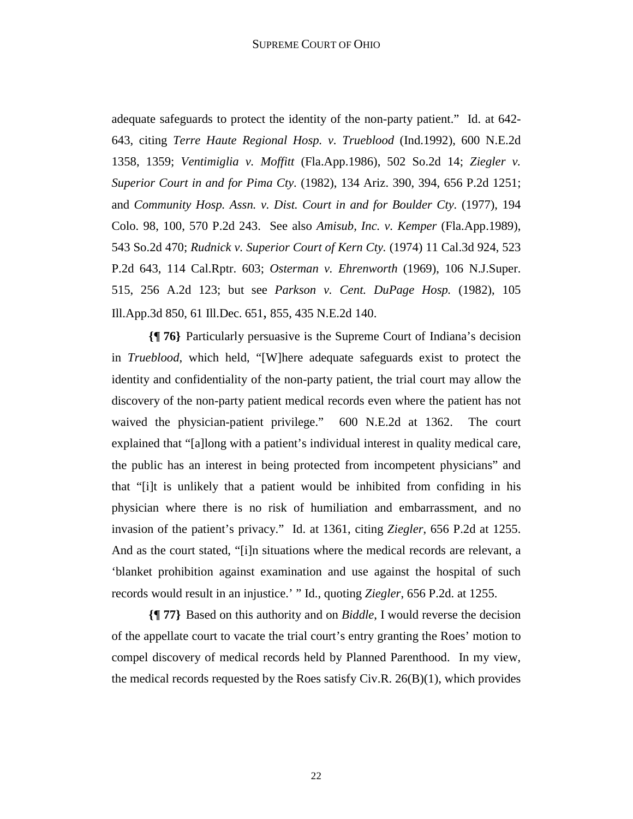adequate safeguards to protect the identity of the non-party patient." Id. at 642- 643, citing *Terre Haute Regional Hosp. v. Trueblood* (Ind.1992), 600 N.E.2d 1358, 1359; *Ventimiglia v. Moffitt* (Fla.App.1986), 502 So.2d 14; *Ziegler v. Superior Court in and for Pima Cty.* (1982), 134 Ariz. 390, 394, 656 P.2d 1251; and *Community Hosp. Assn. v. Dist. Court in and for Boulder Cty.* (1977), 194 Colo. 98, 100, 570 P.2d 243. See also *Amisub, Inc. v. Kemper* (Fla.App.1989), 543 So.2d 470; *Rudnick v. Superior Court of Kern Cty.* (1974) 11 Cal.3d 924, 523 P.2d 643, 114 Cal.Rptr. 603; *Osterman v. Ehrenworth* (1969), 106 N.J.Super. 515, 256 A.2d 123; but see *Parkson v. Cent. DuPage Hosp.* (1982), 105 Ill.App.3d 850, 61 Ill.Dec. 651, 855, 435 N.E.2d 140.

**{¶ 76}** Particularly persuasive is the Supreme Court of Indiana's decision in *Trueblood*, which held, "[W]here adequate safeguards exist to protect the identity and confidentiality of the non-party patient, the trial court may allow the discovery of the non-party patient medical records even where the patient has not waived the physician-patient privilege." 600 N.E.2d at 1362. The court explained that "[a]long with a patient's individual interest in quality medical care, the public has an interest in being protected from incompetent physicians" and that "[i]t is unlikely that a patient would be inhibited from confiding in his physician where there is no risk of humiliation and embarrassment, and no invasion of the patient's privacy." Id. at 1361, citing *Ziegler*, 656 P.2d at 1255. And as the court stated, "[i]n situations where the medical records are relevant, a 'blanket prohibition against examination and use against the hospital of such records would result in an injustice.' " Id., quoting *Ziegler*, 656 P.2d. at 1255.

**{¶ 77}** Based on this authority and on *Biddle*, I would reverse the decision of the appellate court to vacate the trial court's entry granting the Roes' motion to compel discovery of medical records held by Planned Parenthood. In my view, the medical records requested by the Roes satisfy Civ.R. 26(B)(1), which provides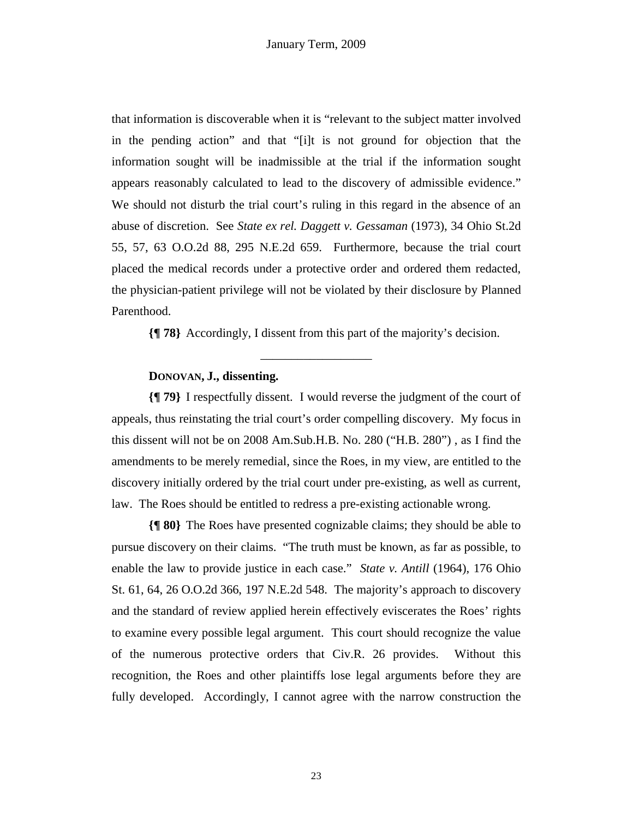that information is discoverable when it is "relevant to the subject matter involved in the pending action" and that "[i]t is not ground for objection that the information sought will be inadmissible at the trial if the information sought appears reasonably calculated to lead to the discovery of admissible evidence." We should not disturb the trial court's ruling in this regard in the absence of an abuse of discretion. See *State ex rel. Daggett v. Gessaman* (1973), 34 Ohio St.2d 55, 57, 63 O.O.2d 88, 295 N.E.2d 659. Furthermore, because the trial court placed the medical records under a protective order and ordered them redacted, the physician-patient privilege will not be violated by their disclosure by Planned Parenthood.

**{¶ 78}** Accordingly, I dissent from this part of the majority's decision.

\_\_\_\_\_\_\_\_\_\_\_\_\_\_\_\_\_\_

## **DONOVAN, J., dissenting.**

**{¶ 79}** I respectfully dissent. I would reverse the judgment of the court of appeals, thus reinstating the trial court's order compelling discovery. My focus in this dissent will not be on 2008 Am.Sub.H.B. No. 280 ("H.B. 280") , as I find the amendments to be merely remedial, since the Roes, in my view, are entitled to the discovery initially ordered by the trial court under pre-existing, as well as current, law. The Roes should be entitled to redress a pre-existing actionable wrong.

**{¶ 80}** The Roes have presented cognizable claims; they should be able to pursue discovery on their claims. "The truth must be known, as far as possible, to enable the law to provide justice in each case." *State v. Antill* (1964), 176 Ohio St. 61, 64, 26 O.O.2d 366, 197 N.E.2d 548. The majority's approach to discovery and the standard of review applied herein effectively eviscerates the Roes' rights to examine every possible legal argument. This court should recognize the value of the numerous protective orders that Civ.R. 26 provides. Without this recognition, the Roes and other plaintiffs lose legal arguments before they are fully developed. Accordingly, I cannot agree with the narrow construction the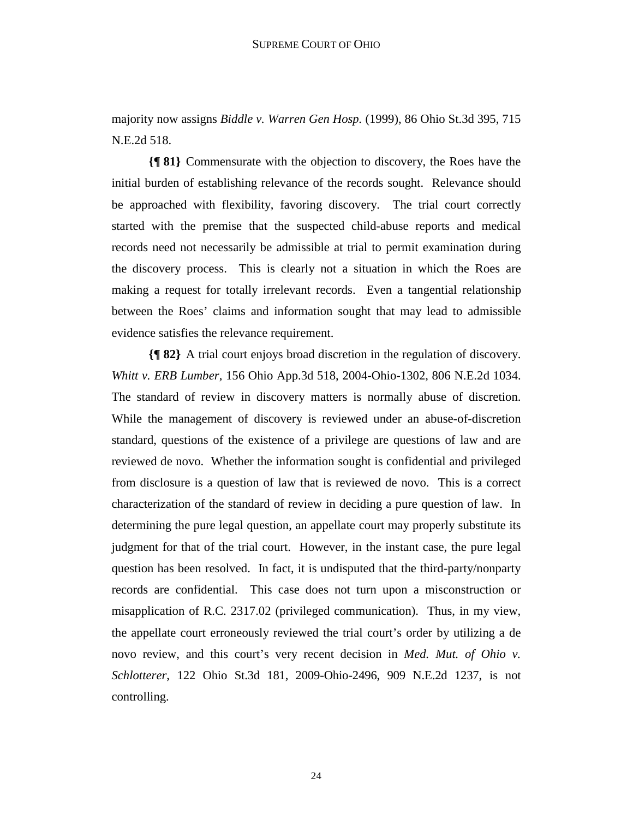majority now assigns *Biddle v. Warren Gen Hosp.* (1999), 86 Ohio St.3d 395, 715 N.E.2d 518.

**{¶ 81}** Commensurate with the objection to discovery, the Roes have the initial burden of establishing relevance of the records sought. Relevance should be approached with flexibility, favoring discovery. The trial court correctly started with the premise that the suspected child-abuse reports and medical records need not necessarily be admissible at trial to permit examination during the discovery process. This is clearly not a situation in which the Roes are making a request for totally irrelevant records. Even a tangential relationship between the Roes' claims and information sought that may lead to admissible evidence satisfies the relevance requirement.

**{¶ 82}** A trial court enjoys broad discretion in the regulation of discovery. *Whitt v. ERB Lumber*, 156 Ohio App.3d 518, 2004-Ohio-1302, 806 N.E.2d 1034. The standard of review in discovery matters is normally abuse of discretion. While the management of discovery is reviewed under an abuse-of-discretion standard, questions of the existence of a privilege are questions of law and are reviewed de novo. Whether the information sought is confidential and privileged from disclosure is a question of law that is reviewed de novo. This is a correct characterization of the standard of review in deciding a pure question of law. In determining the pure legal question, an appellate court may properly substitute its judgment for that of the trial court. However, in the instant case, the pure legal question has been resolved. In fact, it is undisputed that the third-party/nonparty records are confidential. This case does not turn upon a misconstruction or misapplication of R.C. 2317.02 (privileged communication). Thus, in my view, the appellate court erroneously reviewed the trial court's order by utilizing a de novo review, and this court's very recent decision in *Med. Mut. of Ohio v. Schlotterer*, 122 Ohio St.3d 181, 2009-Ohio-2496, 909 N.E.2d 1237, is not controlling.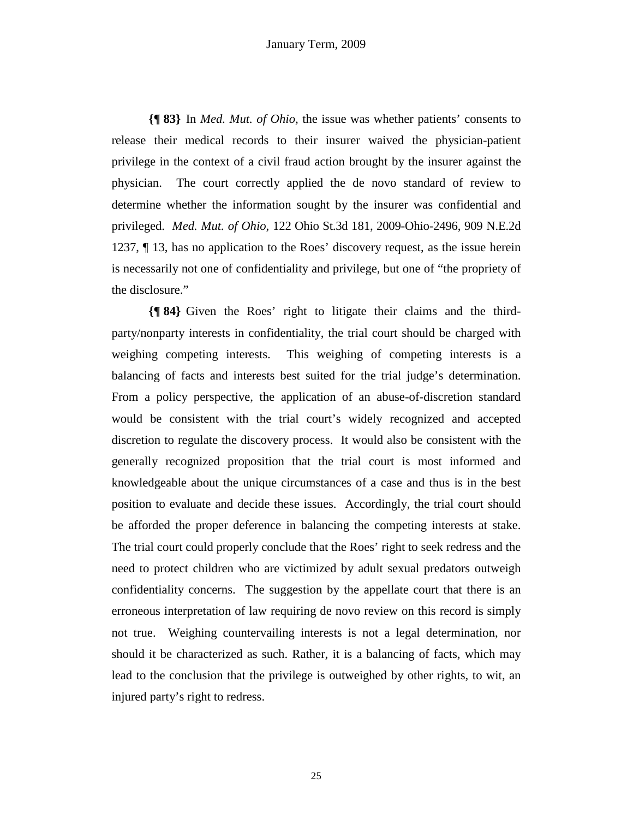**{¶ 83}** In *Med. Mut. of Ohio,* the issue was whether patients' consents to release their medical records to their insurer waived the physician-patient privilege in the context of a civil fraud action brought by the insurer against the physician. The court correctly applied the de novo standard of review to determine whether the information sought by the insurer was confidential and privileged. *Med. Mut. of Ohio*, 122 Ohio St.3d 181, 2009-Ohio-2496, 909 N.E.2d 1237, ¶ 13, has no application to the Roes' discovery request, as the issue herein is necessarily not one of confidentiality and privilege, but one of "the propriety of the disclosure."

**{¶ 84}** Given the Roes' right to litigate their claims and the thirdparty/nonparty interests in confidentiality, the trial court should be charged with weighing competing interests. This weighing of competing interests is a balancing of facts and interests best suited for the trial judge's determination. From a policy perspective, the application of an abuse-of-discretion standard would be consistent with the trial court's widely recognized and accepted discretion to regulate the discovery process. It would also be consistent with the generally recognized proposition that the trial court is most informed and knowledgeable about the unique circumstances of a case and thus is in the best position to evaluate and decide these issues. Accordingly, the trial court should be afforded the proper deference in balancing the competing interests at stake. The trial court could properly conclude that the Roes' right to seek redress and the need to protect children who are victimized by adult sexual predators outweigh confidentiality concerns. The suggestion by the appellate court that there is an erroneous interpretation of law requiring de novo review on this record is simply not true. Weighing countervailing interests is not a legal determination, nor should it be characterized as such. Rather, it is a balancing of facts, which may lead to the conclusion that the privilege is outweighed by other rights, to wit, an injured party's right to redress.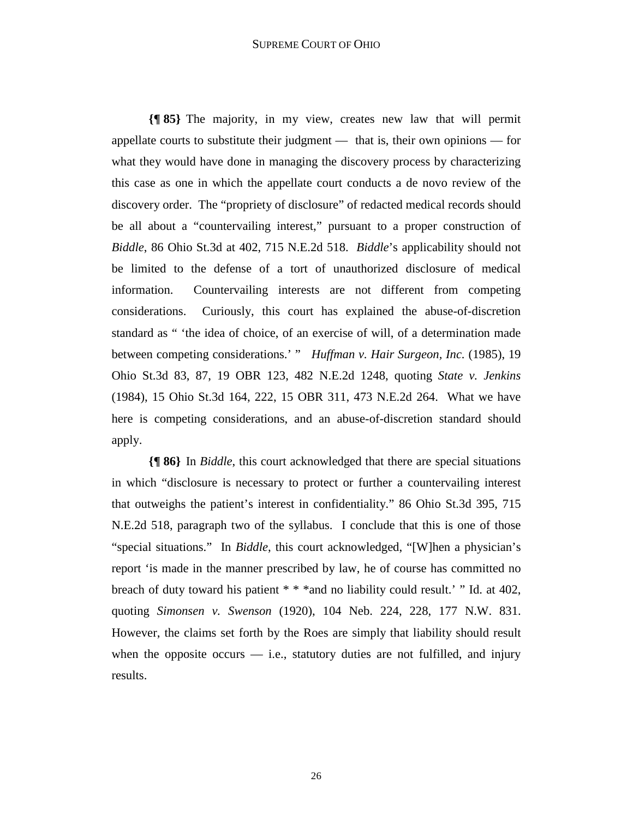#### SUPREME COURT OF OHIO

**{¶ 85}** The majority, in my view, creates new law that will permit appellate courts to substitute their judgment — that is, their own opinions — for what they would have done in managing the discovery process by characterizing this case as one in which the appellate court conducts a de novo review of the discovery order. The "propriety of disclosure" of redacted medical records should be all about a "countervailing interest," pursuant to a proper construction of *Biddle*, 86 Ohio St.3d at 402, 715 N.E.2d 518. *Biddle*'s applicability should not be limited to the defense of a tort of unauthorized disclosure of medical information. Countervailing interests are not different from competing considerations. Curiously, this court has explained the abuse-of-discretion standard as " 'the idea of choice, of an exercise of will, of a determination made between competing considerations.' " *Huffman v. Hair Surgeon, Inc.* (1985), 19 Ohio St.3d 83, 87, 19 OBR 123, 482 N.E.2d 1248, quoting *State v. Jenkins* (1984), 15 Ohio St.3d 164, 222, 15 OBR 311, 473 N.E.2d 264. What we have here is competing considerations, and an abuse-of-discretion standard should apply.

**{¶ 86}** In *Biddle*, this court acknowledged that there are special situations in which "disclosure is necessary to protect or further a countervailing interest that outweighs the patient's interest in confidentiality." 86 Ohio St.3d 395, 715 N.E.2d 518, paragraph two of the syllabus. I conclude that this is one of those "special situations." In *Biddle*, this court acknowledged, "[W]hen a physician's report 'is made in the manner prescribed by law, he of course has committed no breach of duty toward his patient \* \* \* and no liability could result.' " Id. at 402, quoting *Simonsen v. Swenson* (1920), 104 Neb. 224, 228, 177 N.W. 831. However, the claims set forth by the Roes are simply that liability should result when the opposite occurs  $-$  i.e., statutory duties are not fulfilled, and injury results.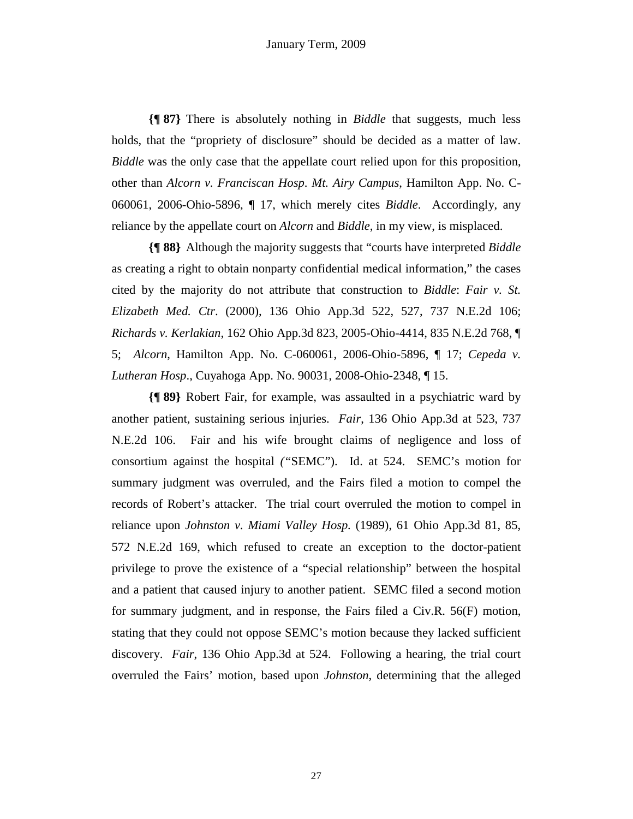**{¶ 87}** There is absolutely nothing in *Biddle* that suggests, much less holds, that the "propriety of disclosure" should be decided as a matter of law. *Biddle* was the only case that the appellate court relied upon for this proposition, other than *Alcorn v. Franciscan Hosp*. *Mt. Airy Campus*, Hamilton App. No. C-060061, 2006-Ohio-5896, ¶ 17, which merely cites *Biddle*. Accordingly, any reliance by the appellate court on *Alcorn* and *Biddle*, in my view, is misplaced.

**{¶ 88}** Although the majority suggests that "courts have interpreted *Biddle* as creating a right to obtain nonparty confidential medical information," the cases cited by the majority do not attribute that construction to *Biddle*: *Fair v. St. Elizabeth Med. Ctr*. (2000), 136 Ohio App.3d 522, 527, 737 N.E.2d 106; *Richards v. Kerlakian*, 162 Ohio App.3d 823, 2005-Ohio-4414, 835 N.E.2d 768, ¶ 5; *Alcorn*, Hamilton App. No. C-060061, 2006-Ohio-5896, ¶ 17; *Cepeda v. Lutheran Hosp*., Cuyahoga App. No. 90031, 2008-Ohio-2348, ¶ 15.

**{¶ 89}** Robert Fair, for example, was assaulted in a psychiatric ward by another patient, sustaining serious injuries. *Fair*, 136 Ohio App.3d at 523, 737 N.E.2d 106. Fair and his wife brought claims of negligence and loss of consortium against the hospital *("*SEMC"). Id. at 524. SEMC's motion for summary judgment was overruled, and the Fairs filed a motion to compel the records of Robert's attacker. The trial court overruled the motion to compel in reliance upon *Johnston v. Miami Valley Hosp.* (1989), 61 Ohio App.3d 81, 85, 572 N.E.2d 169, which refused to create an exception to the doctor-patient privilege to prove the existence of a "special relationship" between the hospital and a patient that caused injury to another patient. SEMC filed a second motion for summary judgment, and in response, the Fairs filed a Civ.R. 56(F) motion, stating that they could not oppose SEMC's motion because they lacked sufficient discovery. *Fair*, 136 Ohio App.3d at 524. Following a hearing, the trial court overruled the Fairs' motion, based upon *Johnston*, determining that the alleged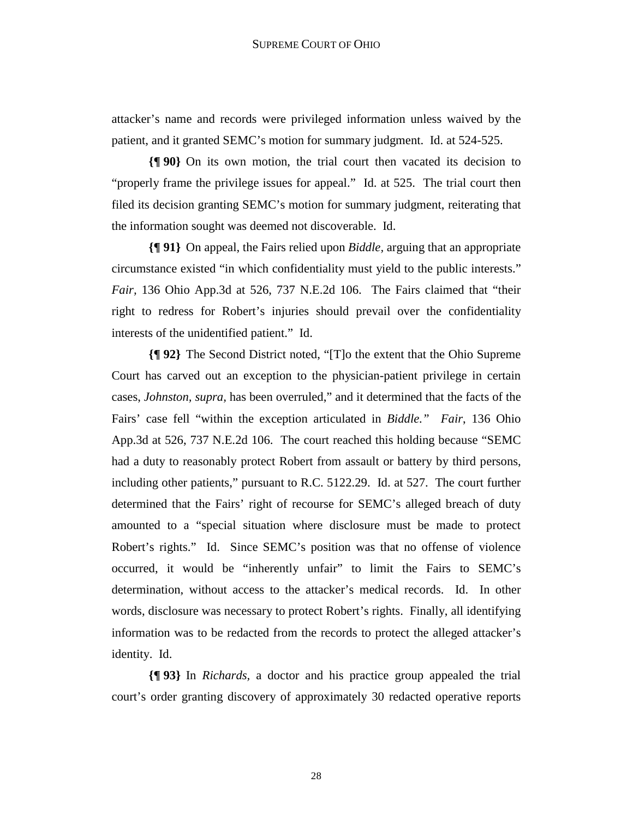attacker's name and records were privileged information unless waived by the patient, and it granted SEMC's motion for summary judgment. Id. at 524-525.

**{¶ 90}** On its own motion, the trial court then vacated its decision to "properly frame the privilege issues for appeal." Id. at 525. The trial court then filed its decision granting SEMC's motion for summary judgment, reiterating that the information sought was deemed not discoverable. Id.

**{¶ 91}** On appeal, the Fairs relied upon *Biddle,* arguing that an appropriate circumstance existed "in which confidentiality must yield to the public interests." *Fair,* 136 Ohio App.3d at 526, 737 N.E.2d 106. The Fairs claimed that "their right to redress for Robert's injuries should prevail over the confidentiality interests of the unidentified patient." Id.

**{¶ 92}** The Second District noted, "[T]o the extent that the Ohio Supreme Court has carved out an exception to the physician-patient privilege in certain cases, *Johnston, supra,* has been overruled," and it determined that the facts of the Fairs' case fell "within the exception articulated in *Biddle." Fair*, 136 Ohio App.3d at 526, 737 N.E.2d 106. The court reached this holding because "SEMC had a duty to reasonably protect Robert from assault or battery by third persons, including other patients," pursuant to R.C. 5122.29. Id. at 527. The court further determined that the Fairs' right of recourse for SEMC's alleged breach of duty amounted to a "special situation where disclosure must be made to protect Robert's rights." Id. Since SEMC's position was that no offense of violence occurred, it would be "inherently unfair" to limit the Fairs to SEMC's determination, without access to the attacker's medical records. Id. In other words, disclosure was necessary to protect Robert's rights. Finally, all identifying information was to be redacted from the records to protect the alleged attacker's identity. Id.

**{¶ 93}** In *Richards,* a doctor and his practice group appealed the trial court's order granting discovery of approximately 30 redacted operative reports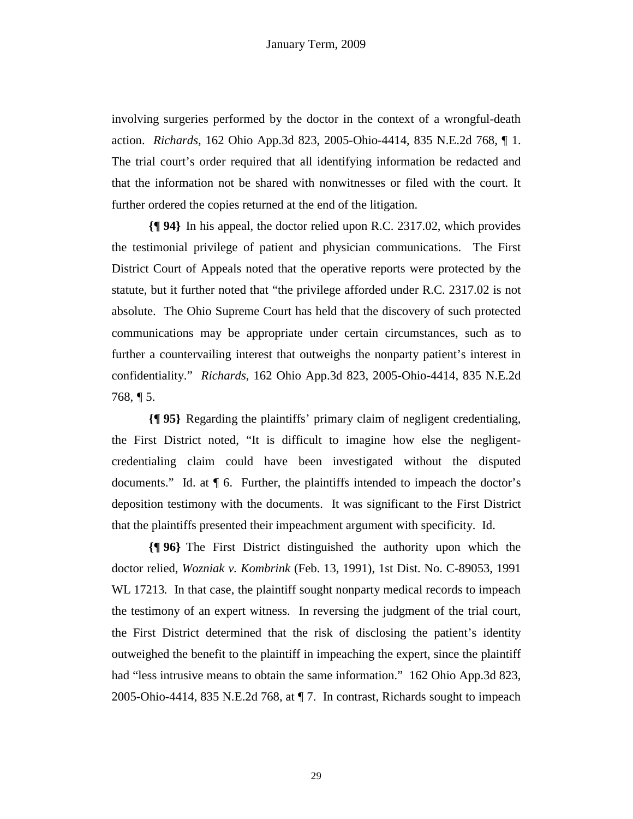involving surgeries performed by the doctor in the context of a wrongful-death action. *Richards,* 162 Ohio App.3d 823, 2005-Ohio-4414, 835 N.E.2d 768, ¶ 1. The trial court's order required that all identifying information be redacted and that the information not be shared with nonwitnesses or filed with the court*.* It further ordered the copies returned at the end of the litigation.

**{¶ 94}** In his appeal, the doctor relied upon R.C. 2317.02, which provides the testimonial privilege of patient and physician communications. The First District Court of Appeals noted that the operative reports were protected by the statute, but it further noted that "the privilege afforded under R.C. 2317.02 is not absolute. The Ohio Supreme Court has held that the discovery of such protected communications may be appropriate under certain circumstances, such as to further a countervailing interest that outweighs the nonparty patient's interest in confidentiality." *Richards,* 162 Ohio App.3d 823, 2005-Ohio-4414, 835 N.E.2d 768, *¶* 5.

**{¶ 95}** Regarding the plaintiffs' primary claim of negligent credentialing, the First District noted, "It is difficult to imagine how else the negligentcredentialing claim could have been investigated without the disputed documents." Id. at ¶ 6. Further, the plaintiffs intended to impeach the doctor's deposition testimony with the documents. It was significant to the First District that the plaintiffs presented their impeachment argument with specificity. Id.

**{¶ 96}** The First District distinguished the authority upon which the doctor relied, *Wozniak v. Kombrink* (Feb. 13, 1991), 1st Dist. No. C-89053, 1991 WL 17213*.* In that case, the plaintiff sought nonparty medical records to impeach the testimony of an expert witness. In reversing the judgment of the trial court, the First District determined that the risk of disclosing the patient's identity outweighed the benefit to the plaintiff in impeaching the expert, since the plaintiff had "less intrusive means to obtain the same information." 162 Ohio App.3d 823, 2005-Ohio-4414, 835 N.E.2d 768, at ¶ 7. In contrast, Richards sought to impeach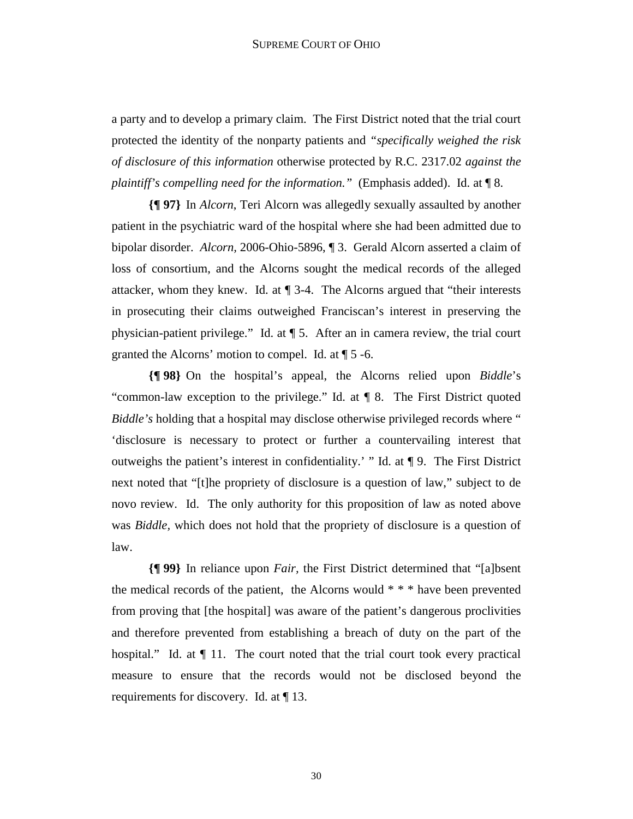a party and to develop a primary claim. The First District noted that the trial court protected the identity of the nonparty patients and *"specifically weighed the risk of disclosure of this information* otherwise protected by R.C. 2317.02 *against the plaintiff's compelling need for the information."* (Emphasis added). Id. at ¶ 8.

**{¶ 97}** In *Alcorn*, Teri Alcorn was allegedly sexually assaulted by another patient in the psychiatric ward of the hospital where she had been admitted due to bipolar disorder. *Alcorn,* 2006-Ohio-5896, ¶ 3. Gerald Alcorn asserted a claim of loss of consortium, and the Alcorns sought the medical records of the alleged attacker, whom they knew. Id. at ¶ 3-4. The Alcorns argued that "their interests in prosecuting their claims outweighed Franciscan's interest in preserving the physician-patient privilege." Id. at ¶ 5. After an in camera review, the trial court granted the Alcorns' motion to compel. Id. at ¶ 5 -6.

**{¶ 98}** On the hospital's appeal, the Alcorns relied upon *Biddle*'s "common-law exception to the privilege." Id. at ¶ 8. The First District quoted *Biddle's* holding that a hospital may disclose otherwise privileged records where " 'disclosure is necessary to protect or further a countervailing interest that outweighs the patient's interest in confidentiality.' " Id. at ¶ 9. The First District next noted that "[t]he propriety of disclosure is a question of law," subject to de novo review. Id. The only authority for this proposition of law as noted above was *Biddle,* which does not hold that the propriety of disclosure is a question of law.

**{¶ 99}** In reliance upon *Fair,* the First District determined that "[a]bsent the medical records of the patient, the Alcorns would \* \* \* have been prevented from proving that [the hospital] was aware of the patient's dangerous proclivities and therefore prevented from establishing a breach of duty on the part of the hospital." Id. at  $\P$  11. The court noted that the trial court took every practical measure to ensure that the records would not be disclosed beyond the requirements for discovery. Id. at ¶ 13.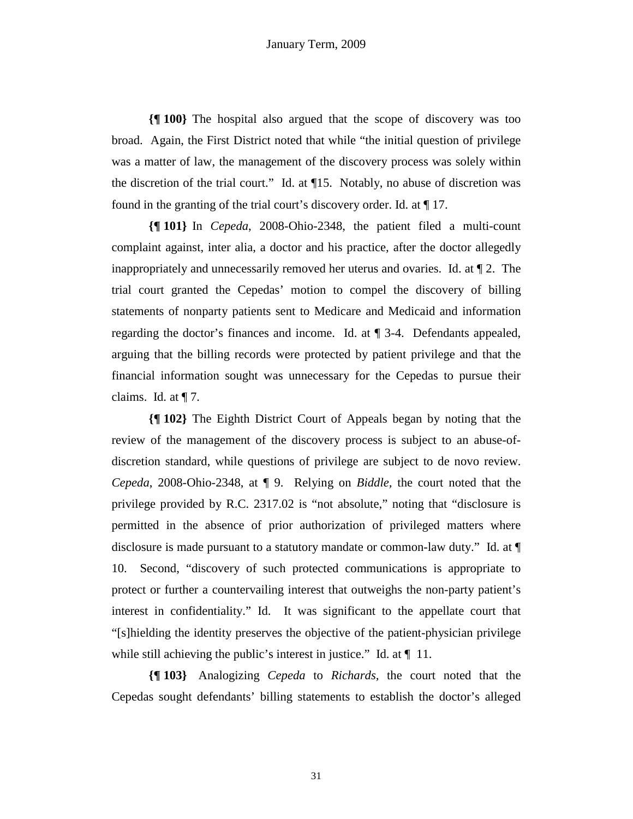**{¶ 100}** The hospital also argued that the scope of discovery was too broad. Again, the First District noted that while "the initial question of privilege was a matter of law, the management of the discovery process was solely within the discretion of the trial court." Id. at ¶15. Notably, no abuse of discretion was found in the granting of the trial court's discovery order. Id. at ¶ 17.

**{¶ 101}** In *Cepeda*, 2008-Ohio-2348, the patient filed a multi-count complaint against, inter alia, a doctor and his practice, after the doctor allegedly inappropriately and unnecessarily removed her uterus and ovaries. Id. at ¶ 2. The trial court granted the Cepedas' motion to compel the discovery of billing statements of nonparty patients sent to Medicare and Medicaid and information regarding the doctor's finances and income. Id. at ¶ 3-4. Defendants appealed, arguing that the billing records were protected by patient privilege and that the financial information sought was unnecessary for the Cepedas to pursue their claims. Id. at ¶ 7.

**{¶ 102}** The Eighth District Court of Appeals began by noting that the review of the management of the discovery process is subject to an abuse-ofdiscretion standard, while questions of privilege are subject to de novo review. *Cepeda*, 2008-Ohio-2348, at ¶ 9. Relying on *Biddle,* the court noted that the privilege provided by R.C. 2317.02 is "not absolute," noting that "disclosure is permitted in the absence of prior authorization of privileged matters where disclosure is made pursuant to a statutory mandate or common-law duty." Id. at ¶ 10. Second, "discovery of such protected communications is appropriate to protect or further a countervailing interest that outweighs the non-party patient's interest in confidentiality." Id. It was significant to the appellate court that "[s]hielding the identity preserves the objective of the patient-physician privilege while still achieving the public's interest in justice." Id. at  $\P$  11.

**{¶ 103}** Analogizing *Cepeda* to *Richards,* the court noted that the Cepedas sought defendants' billing statements to establish the doctor's alleged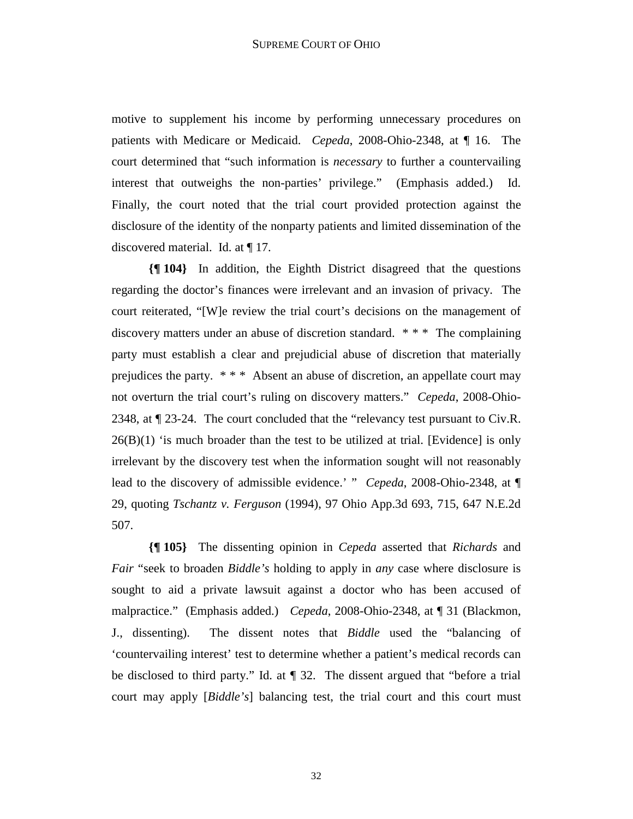motive to supplement his income by performing unnecessary procedures on patients with Medicare or Medicaid. *Cepeda*, 2008-Ohio-2348, at ¶ 16. The court determined that "such information is *necessary* to further a countervailing interest that outweighs the non-parties' privilege." (Emphasis added.) Id. Finally, the court noted that the trial court provided protection against the disclosure of the identity of the nonparty patients and limited dissemination of the discovered material. Id. at ¶ 17.

**{¶ 104}** In addition, the Eighth District disagreed that the questions regarding the doctor's finances were irrelevant and an invasion of privacy. The court reiterated, "[W]e review the trial court's decisions on the management of discovery matters under an abuse of discretion standard. \* \* \* The complaining party must establish a clear and prejudicial abuse of discretion that materially prejudices the party. \* \* \* Absent an abuse of discretion, an appellate court may not overturn the trial court's ruling on discovery matters." *Cepeda*, 2008-Ohio-2348, at ¶ 23-24. The court concluded that the "relevancy test pursuant to Civ.R.  $26(B)(1)$  'is much broader than the test to be utilized at trial. [Evidence] is only irrelevant by the discovery test when the information sought will not reasonably lead to the discovery of admissible evidence.' " *Cepeda*, 2008-Ohio-2348, at ¶ 29, quoting *Tschantz v. Ferguson* (1994), 97 Ohio App.3d 693, 715, 647 N.E.2d 507.

**{¶ 105}** The dissenting opinion in *Cepeda* asserted that *Richards* and *Fair* "seek to broaden *Biddle's* holding to apply in *any* case where disclosure is sought to aid a private lawsuit against a doctor who has been accused of malpractice." (Emphasis added.) *Cepeda*, 2008-Ohio-2348, at ¶ 31 (Blackmon, J., dissenting). The dissent notes that *Biddle* used the "balancing of 'countervailing interest' test to determine whether a patient's medical records can be disclosed to third party." Id. at ¶ 32. The dissent argued that "before a trial court may apply [*Biddle's*] balancing test, the trial court and this court must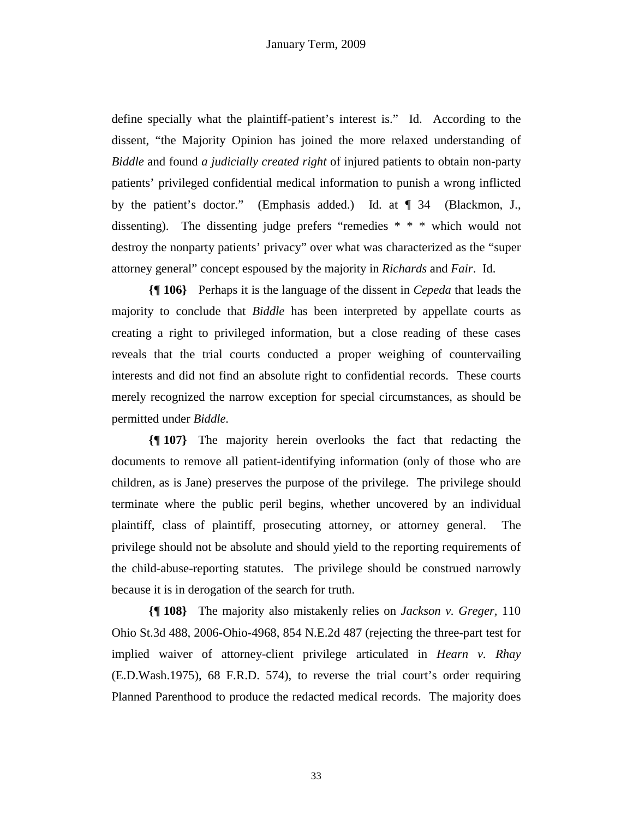define specially what the plaintiff-patient's interest is." Id. According to the dissent, "the Majority Opinion has joined the more relaxed understanding of *Biddle* and found *a judicially created right* of injured patients to obtain non-party patients' privileged confidential medical information to punish a wrong inflicted by the patient's doctor." (Emphasis added.) Id. at ¶ 34 (Blackmon, J., dissenting). The dissenting judge prefers "remedies \* \* \* which would not destroy the nonparty patients' privacy" over what was characterized as the "super attorney general" concept espoused by the majority in *Richards* and *Fair*. Id.

**{¶ 106}** Perhaps it is the language of the dissent in *Cepeda* that leads the majority to conclude that *Biddle* has been interpreted by appellate courts as creating a right to privileged information, but a close reading of these cases reveals that the trial courts conducted a proper weighing of countervailing interests and did not find an absolute right to confidential records. These courts merely recognized the narrow exception for special circumstances, as should be permitted under *Biddle.* 

**{¶ 107}** The majority herein overlooks the fact that redacting the documents to remove all patient-identifying information (only of those who are children, as is Jane) preserves the purpose of the privilege. The privilege should terminate where the public peril begins, whether uncovered by an individual plaintiff, class of plaintiff, prosecuting attorney, or attorney general. The privilege should not be absolute and should yield to the reporting requirements of the child-abuse-reporting statutes. The privilege should be construed narrowly because it is in derogation of the search for truth.

**{¶ 108}** The majority also mistakenly relies on *Jackson v. Greger,* 110 Ohio St.3d 488, 2006-Ohio-4968, 854 N.E.2d 487 (rejecting the three-part test for implied waiver of attorney-client privilege articulated in *Hearn v. Rhay* (E.D.Wash.1975), 68 F.R.D. 574), to reverse the trial court's order requiring Planned Parenthood to produce the redacted medical records. The majority does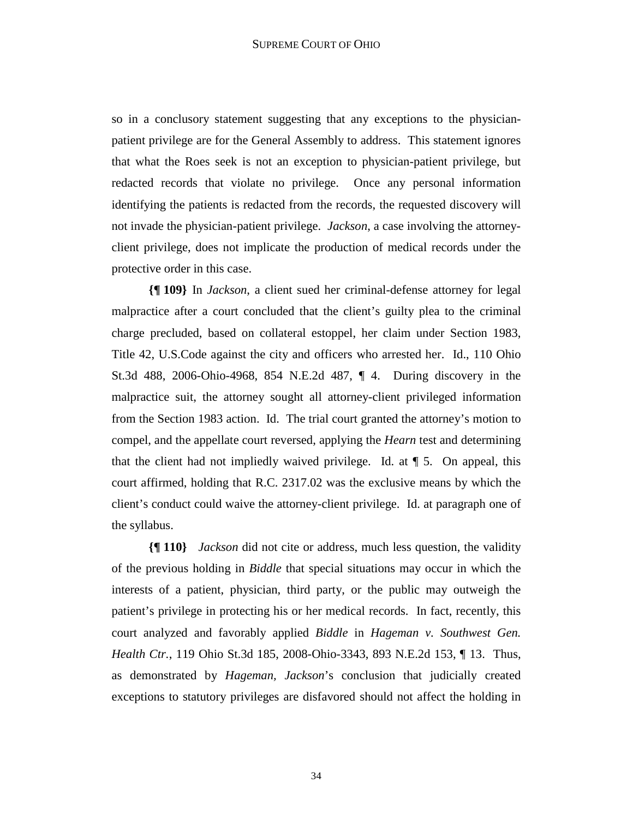so in a conclusory statement suggesting that any exceptions to the physicianpatient privilege are for the General Assembly to address. This statement ignores that what the Roes seek is not an exception to physician-patient privilege, but redacted records that violate no privilege. Once any personal information identifying the patients is redacted from the records, the requested discovery will not invade the physician-patient privilege. *Jackson*, a case involving the attorneyclient privilege, does not implicate the production of medical records under the protective order in this case.

**{¶ 109}** In *Jackson*, a client sued her criminal-defense attorney for legal malpractice after a court concluded that the client's guilty plea to the criminal charge precluded, based on collateral estoppel, her claim under Section 1983, Title 42, U.S.Code against the city and officers who arrested her. Id., 110 Ohio St.3d 488, 2006-Ohio-4968, 854 N.E.2d 487, ¶ 4. During discovery in the malpractice suit, the attorney sought all attorney-client privileged information from the Section 1983 action. Id. The trial court granted the attorney's motion to compel, and the appellate court reversed, applying the *Hearn* test and determining that the client had not impliedly waived privilege. Id. at  $\P$  5. On appeal, this court affirmed, holding that R.C. 2317.02 was the exclusive means by which the client's conduct could waive the attorney-client privilege. Id. at paragraph one of the syllabus.

**{¶ 110}** *Jackson* did not cite or address, much less question, the validity of the previous holding in *Biddle* that special situations may occur in which the interests of a patient, physician, third party, or the public may outweigh the patient's privilege in protecting his or her medical records. In fact, recently, this court analyzed and favorably applied *Biddle* in *Hageman v. Southwest Gen. Health Ctr.*, 119 Ohio St.3d 185, 2008-Ohio-3343, 893 N.E.2d 153, ¶ 13. Thus, as demonstrated by *Hageman, Jackson*'s conclusion that judicially created exceptions to statutory privileges are disfavored should not affect the holding in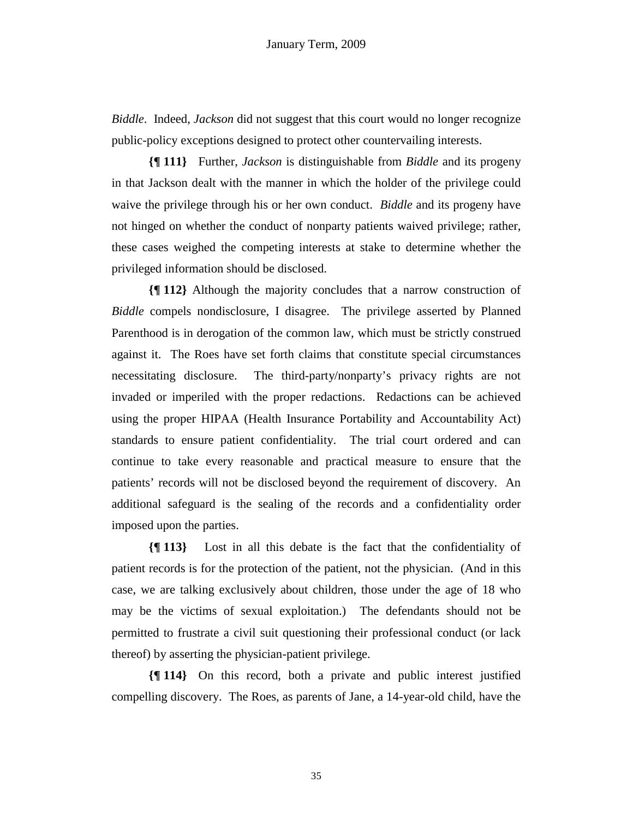*Biddle*. Indeed, *Jackson* did not suggest that this court would no longer recognize public-policy exceptions designed to protect other countervailing interests.

**{¶ 111}** Further, *Jackson* is distinguishable from *Biddle* and its progeny in that Jackson dealt with the manner in which the holder of the privilege could waive the privilege through his or her own conduct. *Biddle* and its progeny have not hinged on whether the conduct of nonparty patients waived privilege; rather, these cases weighed the competing interests at stake to determine whether the privileged information should be disclosed.

**{¶ 112}** Although the majority concludes that a narrow construction of *Biddle* compels nondisclosure, I disagree. The privilege asserted by Planned Parenthood is in derogation of the common law, which must be strictly construed against it. The Roes have set forth claims that constitute special circumstances necessitating disclosure. The third-party/nonparty's privacy rights are not invaded or imperiled with the proper redactions. Redactions can be achieved using the proper HIPAA (Health Insurance Portability and Accountability Act) standards to ensure patient confidentiality. The trial court ordered and can continue to take every reasonable and practical measure to ensure that the patients' records will not be disclosed beyond the requirement of discovery. An additional safeguard is the sealing of the records and a confidentiality order imposed upon the parties.

**{¶ 113}** Lost in all this debate is the fact that the confidentiality of patient records is for the protection of the patient, not the physician. (And in this case, we are talking exclusively about children, those under the age of 18 who may be the victims of sexual exploitation.) The defendants should not be permitted to frustrate a civil suit questioning their professional conduct (or lack thereof) by asserting the physician-patient privilege.

**{¶ 114}** On this record, both a private and public interest justified compelling discovery. The Roes, as parents of Jane, a 14-year-old child, have the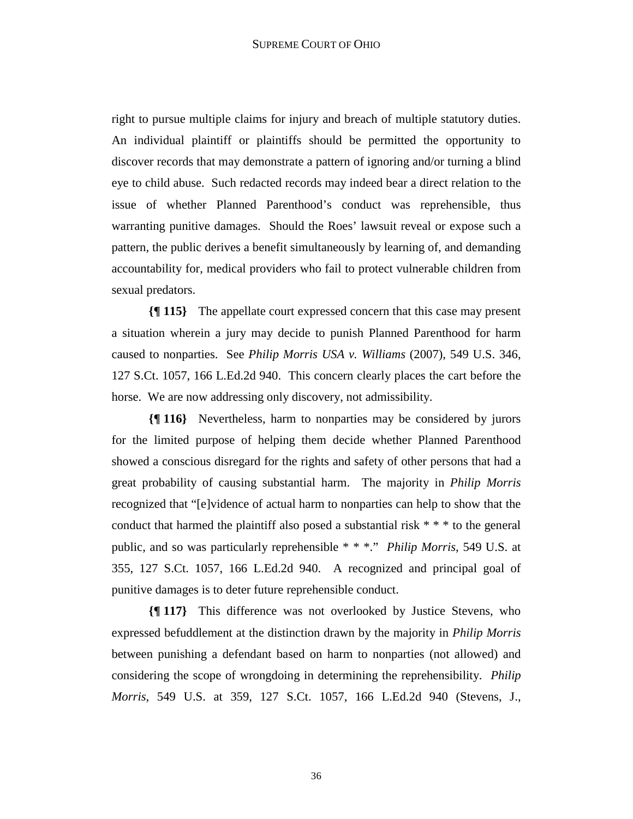right to pursue multiple claims for injury and breach of multiple statutory duties. An individual plaintiff or plaintiffs should be permitted the opportunity to discover records that may demonstrate a pattern of ignoring and/or turning a blind eye to child abuse. Such redacted records may indeed bear a direct relation to the issue of whether Planned Parenthood's conduct was reprehensible, thus warranting punitive damages. Should the Roes' lawsuit reveal or expose such a pattern, the public derives a benefit simultaneously by learning of, and demanding accountability for, medical providers who fail to protect vulnerable children from sexual predators.

**{¶ 115}** The appellate court expressed concern that this case may present a situation wherein a jury may decide to punish Planned Parenthood for harm caused to nonparties. See *Philip Morris USA v. Williams* (2007), 549 U.S. 346, 127 S.Ct. 1057, 166 L.Ed.2d 940. This concern clearly places the cart before the horse. We are now addressing only discovery, not admissibility.

**{¶ 116}** Nevertheless, harm to nonparties may be considered by jurors for the limited purpose of helping them decide whether Planned Parenthood showed a conscious disregard for the rights and safety of other persons that had a great probability of causing substantial harm. The majority in *Philip Morris* recognized that "[e]vidence of actual harm to nonparties can help to show that the conduct that harmed the plaintiff also posed a substantial risk \* \* \* to the general public, and so was particularly reprehensible \* \* \*." *Philip Morris*, 549 U.S. at 355, 127 S.Ct. 1057, 166 L.Ed.2d 940. A recognized and principal goal of punitive damages is to deter future reprehensible conduct.

**{¶ 117}** This difference was not overlooked by Justice Stevens, who expressed befuddlement at the distinction drawn by the majority in *Philip Morris* between punishing a defendant based on harm to nonparties (not allowed) and considering the scope of wrongdoing in determining the reprehensibility. *Philip Morris*, 549 U.S. at 359, 127 S.Ct. 1057, 166 L.Ed.2d 940 (Stevens, J.,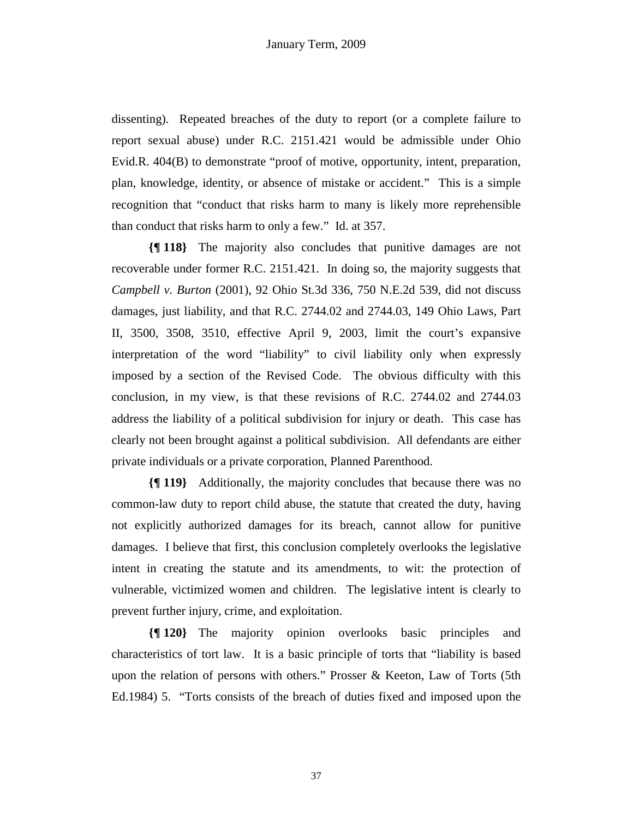dissenting). Repeated breaches of the duty to report (or a complete failure to report sexual abuse) under R.C. 2151.421 would be admissible under Ohio Evid.R. 404(B) to demonstrate "proof of motive, opportunity, intent, preparation, plan, knowledge, identity, or absence of mistake or accident." This is a simple recognition that "conduct that risks harm to many is likely more reprehensible than conduct that risks harm to only a few." Id. at 357.

**{¶ 118}** The majority also concludes that punitive damages are not recoverable under former R.C. 2151.421. In doing so, the majority suggests that *Campbell v. Burton* (2001), 92 Ohio St.3d 336, 750 N.E.2d 539, did not discuss damages, just liability, and that R.C. 2744.02 and 2744.03, 149 Ohio Laws, Part II, 3500, 3508, 3510, effective April 9, 2003, limit the court's expansive interpretation of the word "liability" to civil liability only when expressly imposed by a section of the Revised Code. The obvious difficulty with this conclusion, in my view, is that these revisions of R.C. 2744.02 and 2744.03 address the liability of a political subdivision for injury or death. This case has clearly not been brought against a political subdivision. All defendants are either private individuals or a private corporation, Planned Parenthood.

**{¶ 119}** Additionally, the majority concludes that because there was no common-law duty to report child abuse, the statute that created the duty, having not explicitly authorized damages for its breach, cannot allow for punitive damages. I believe that first, this conclusion completely overlooks the legislative intent in creating the statute and its amendments, to wit: the protection of vulnerable, victimized women and children. The legislative intent is clearly to prevent further injury, crime, and exploitation.

**{¶ 120}** The majority opinion overlooks basic principles and characteristics of tort law. It is a basic principle of torts that "liability is based upon the relation of persons with others." Prosser & Keeton, Law of Torts (5th Ed.1984) 5. "Torts consists of the breach of duties fixed and imposed upon the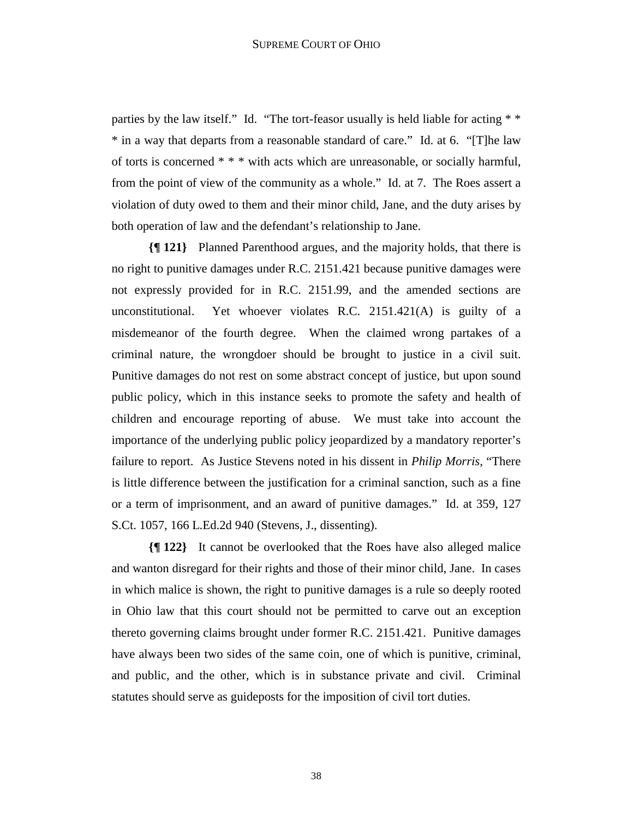parties by the law itself." Id. "The tort-feasor usually is held liable for acting \* \* \* in a way that departs from a reasonable standard of care." Id. at 6. "[T]he law of torts is concerned \* \* \* with acts which are unreasonable, or socially harmful, from the point of view of the community as a whole." Id. at 7. The Roes assert a violation of duty owed to them and their minor child, Jane, and the duty arises by both operation of law and the defendant's relationship to Jane.

**{¶ 121}** Planned Parenthood argues, and the majority holds, that there is no right to punitive damages under R.C. 2151.421 because punitive damages were not expressly provided for in R.C. 2151.99, and the amended sections are unconstitutional. Yet whoever violates R.C. 2151.421(A) is guilty of a misdemeanor of the fourth degree. When the claimed wrong partakes of a criminal nature, the wrongdoer should be brought to justice in a civil suit. Punitive damages do not rest on some abstract concept of justice, but upon sound public policy, which in this instance seeks to promote the safety and health of children and encourage reporting of abuse. We must take into account the importance of the underlying public policy jeopardized by a mandatory reporter's failure to report. As Justice Stevens noted in his dissent in *Philip Morris*, "There is little difference between the justification for a criminal sanction, such as a fine or a term of imprisonment, and an award of punitive damages." Id. at 359, 127 S.Ct. 1057, 166 L.Ed.2d 940 (Stevens, J., dissenting).

**{¶ 122}** It cannot be overlooked that the Roes have also alleged malice and wanton disregard for their rights and those of their minor child, Jane. In cases in which malice is shown, the right to punitive damages is a rule so deeply rooted in Ohio law that this court should not be permitted to carve out an exception thereto governing claims brought under former R.C. 2151.421. Punitive damages have always been two sides of the same coin, one of which is punitive, criminal, and public, and the other, which is in substance private and civil. Criminal statutes should serve as guideposts for the imposition of civil tort duties.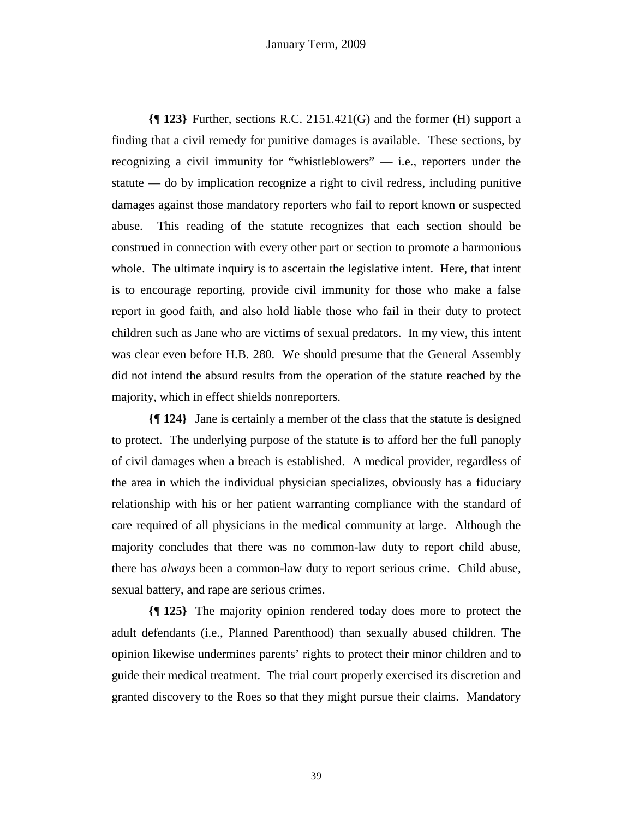**{¶ 123}** Further, sections R.C. 2151.421(G) and the former (H) support a finding that a civil remedy for punitive damages is available. These sections, by recognizing a civil immunity for "whistleblowers" — i.e., reporters under the statute — do by implication recognize a right to civil redress, including punitive damages against those mandatory reporters who fail to report known or suspected abuse. This reading of the statute recognizes that each section should be construed in connection with every other part or section to promote a harmonious whole. The ultimate inquiry is to ascertain the legislative intent. Here, that intent is to encourage reporting, provide civil immunity for those who make a false report in good faith, and also hold liable those who fail in their duty to protect children such as Jane who are victims of sexual predators. In my view, this intent was clear even before H.B. 280. We should presume that the General Assembly did not intend the absurd results from the operation of the statute reached by the majority, which in effect shields nonreporters.

**{¶ 124}** Jane is certainly a member of the class that the statute is designed to protect. The underlying purpose of the statute is to afford her the full panoply of civil damages when a breach is established. A medical provider, regardless of the area in which the individual physician specializes, obviously has a fiduciary relationship with his or her patient warranting compliance with the standard of care required of all physicians in the medical community at large. Although the majority concludes that there was no common-law duty to report child abuse, there has *always* been a common-law duty to report serious crime. Child abuse, sexual battery, and rape are serious crimes.

**{¶ 125}** The majority opinion rendered today does more to protect the adult defendants (i.e., Planned Parenthood) than sexually abused children. The opinion likewise undermines parents' rights to protect their minor children and to guide their medical treatment. The trial court properly exercised its discretion and granted discovery to the Roes so that they might pursue their claims. Mandatory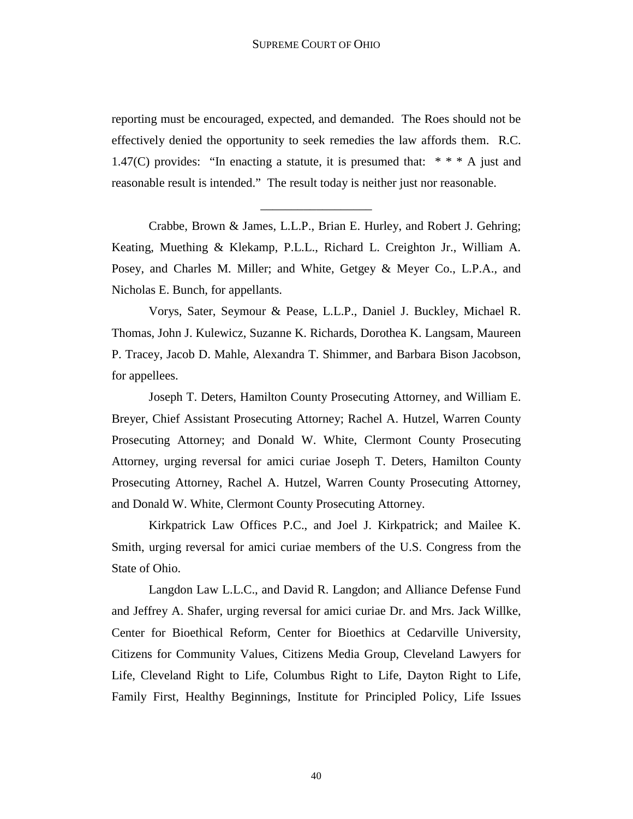reporting must be encouraged, expected, and demanded. The Roes should not be effectively denied the opportunity to seek remedies the law affords them. R.C. 1.47(C) provides: "In enacting a statute, it is presumed that:  $* * * A$  just and reasonable result is intended." The result today is neither just nor reasonable.

\_\_\_\_\_\_\_\_\_\_\_\_\_\_\_\_\_\_

 Crabbe, Brown & James, L.L.P., Brian E. Hurley, and Robert J. Gehring; Keating, Muething & Klekamp, P.L.L., Richard L. Creighton Jr., William A. Posey, and Charles M. Miller; and White, Getgey & Meyer Co., L.P.A., and Nicholas E. Bunch, for appellants.

 Vorys, Sater, Seymour & Pease, L.L.P., Daniel J. Buckley, Michael R. Thomas, John J. Kulewicz, Suzanne K. Richards, Dorothea K. Langsam, Maureen P. Tracey, Jacob D. Mahle, Alexandra T. Shimmer, and Barbara Bison Jacobson, for appellees.

 Joseph T. Deters, Hamilton County Prosecuting Attorney, and William E. Breyer, Chief Assistant Prosecuting Attorney; Rachel A. Hutzel, Warren County Prosecuting Attorney; and Donald W. White, Clermont County Prosecuting Attorney, urging reversal for amici curiae Joseph T. Deters, Hamilton County Prosecuting Attorney, Rachel A. Hutzel, Warren County Prosecuting Attorney, and Donald W. White, Clermont County Prosecuting Attorney.

 Kirkpatrick Law Offices P.C., and Joel J. Kirkpatrick; and Mailee K. Smith, urging reversal for amici curiae members of the U.S. Congress from the State of Ohio.

 Langdon Law L.L.C., and David R. Langdon; and Alliance Defense Fund and Jeffrey A. Shafer, urging reversal for amici curiae Dr. and Mrs. Jack Willke, Center for Bioethical Reform, Center for Bioethics at Cedarville University, Citizens for Community Values, Citizens Media Group, Cleveland Lawyers for Life, Cleveland Right to Life, Columbus Right to Life, Dayton Right to Life, Family First, Healthy Beginnings, Institute for Principled Policy, Life Issues